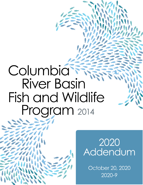# Columbia **River Basin** Fish and Wildlife Program 2014



2020 Addendum

October 20, 2020 2020-9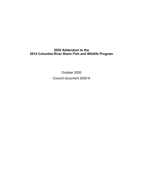# **2020 Addendum to the 2014 Columbia River Basin Fish and Wildlife Program**

October 2020 Council document 2020-9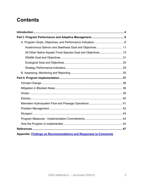# **Contents**

| Anadromous Salmon and Steelhead Goal and Objectives 11                 |  |
|------------------------------------------------------------------------|--|
| All Other Native Aquatic Focal Species Goal and Objectives 15          |  |
|                                                                        |  |
|                                                                        |  |
|                                                                        |  |
|                                                                        |  |
|                                                                        |  |
|                                                                        |  |
|                                                                        |  |
|                                                                        |  |
|                                                                        |  |
|                                                                        |  |
|                                                                        |  |
|                                                                        |  |
|                                                                        |  |
|                                                                        |  |
|                                                                        |  |
| <b>Appendix: Findings on Recommendations and Responses to Comments</b> |  |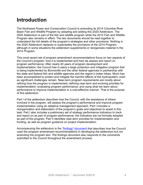# <span id="page-3-0"></span>**Introduction**

The Northwest Power and Conservation Council is amending its 2014 Columbia River Basin Fish and Wildlife Program by adopting and adding this 2020 Addendum. The 2020 Addendum is part of the fish and wildlife program while the 2014 Fish and Wildlife Program also remains in effect. The two documents should be read together to understand the full details of the program's strategies and other provisions. Nothing in the 2020 Addendum replaces or supersedes the provisions of the 2014 Program, although in some situations the addendum supplements or reorganizes material in the 2014 Program.

This most recent set of program amendment recommendations focus on two aspects of the Council's program: how it is implemented and how we assess and report on program performance. After nearly 40 years of program development and implementation, the Council has in place a large protection and mitigation program that is being implemented by Bonneville and the other federal agencies in partnership with the state and federal fish and wildlife agencies and the region's Indian tribes. Much has been accomplished to protect and mitigate the harmful effects of the hydrosystem, even as significant challenges remain. Near-term program requirements are mostly about refining how the program is implemented; defining near-term and evolving priorities for implementation; evaluating program performance; and using what we learn about performance to improve implementation in a cost-effective manner. That is the purpose of this addendum.

Part I of the addendum describes how the Council, with the assistance of others involved in the program, will assess the program's performance and improve program implementation using an adaptive management approach. Part I includes a reorganization and elaboration of the program's goals and objectives to assist in this task. Part I also includes a preliminary set of strategy performance indicators to track and report on as part of program performance; the indicators are not formally adopted as part of the program. Part II identifies near-term priorities for implementation and funding, as well as program guidance on project implementation.

Accompanying the addendum is the ["findings" document](https://www.nwcouncil.org/sites/default/files/2020-9_findings_oct2020.pdf) that describes how the Council used the program amendment recommendations in developing the addendum but not amending the program text. The findings document also responds to the comments submitted to the Council throughout the amendment process.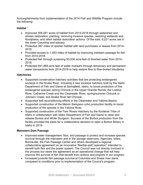Accomplishments from implementation of the 2014 Fish and Wildlife Program include the following:

# **Habitat** [1](#page-46-1)

- Improved 309,281 acres of habitat from 2014-2018 through watershed and stream restoration, planting, removing invasive species, restoring wetlands and floodplains, and other habitat restoration actions. Of the total, 8,221 acres are in the lower Columbia and estuary.
- Protected 387 miles of riparian habitat with land purchases or leases from 2014- 2018.
- Provided access to 1,553 miles of habitat by improving instream passage for fish from 2014-2018.
- Protected fish through screening 93,534 acre-feet of diverted water from 2014- 2018.
- Protected 841,665-acre feet of water instream through temporary and permanent water transactions from 2014-2018 to help restore flow to flow-limited tributaries.

# **Hatcheries**

- Supported conservation hatchery activities that are protecting endangered sockeye in the Snake River, including a new sockeye hatchery built by the Idaho Department of Fish and Game at Springfield, Idaho, to boost production of this endangered species; spring Chinook in the Upper Grande Ronde, the Lostine River, Catherine Creek and the Clearwater River; spring/summer Chinook in Johnson Creek; and Snake River fall Chinook.
- Supported kelt reconditioning efforts in the Clearwater and Yakima Basins.
- Supported construction of the Melvin Sampson coho production facility to boost production of the species in the Yakima River.
- Supported construction of the Twin Rivers Hatchery by the Kootenai Tribe of Idaho in collaboration with Idaho Department of Fish and Game to raise and release Burbot and White Sturgeon. Success of the Burbot production from the facility provided the basis for a collaborative decision to open a Burbot fishery in Idaho in 2019.

# **Mainstem Dam Passage**

- Improved water management, flow, and passage to protect and increase species survival through the mainstem and in the storage reservoirs. Agencies, tribes, Bonneville, the Fish Passage Center and others developed a regional collaborative agreement on an innovative "flexible-spill" operation<sup>[2](#page-46-2)</sup> intended to benefit both fish and the power system. The Council was not directly involved in the process but views the agreement as an operational change that will help improve the survival of fish that benefit from actions and projects in our program.
- Increased juvenile fish passage survival at Columbia and Snake river dams compared to conditions prior to implementation of the Council's program.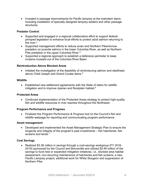• Invested in passage improvements for Pacific lamprey at the mainstem dams including installation of specially designed lamprey ladders and other passage structures.

# **Predator Control**

- Supported and engaged in a regional collaborative effort to support federal pinniped legislation to enhance local efforts to protect adult salmon returning to the river. $^3$  $^3$
- Supported management efforts to reduce avian and Northern Pikeminnow predation on juvenile salmon in the lower Columbia River, as well as Northern Pike predation in the upper Columbia River.<sup>[4](#page-46-4)</sup>
- Supported a regional approach to establish a defensive perimeter to keep invasive mussels out of the Columbia River Basin.

# **Reintroduction Above Blocked Areas**

• Initiated the investigation of the feasibility of reintroducing salmon and steelhead above Chief Joseph and Grand Coulee dams. $^{\rm 5}$  $^{\rm 5}$  $^{\rm 5}$ 

## **Wildlife**

• Established new settlement agreements with the State of Idaho for wildlife mitigation and to improve riparian and floodplain habitat.<sup>[6](#page-46-6)</sup>

# **Protected Areas**

• Continued implementation of the Protected Areas strategy to protect high-quality fish and wildlife resources in river reaches throughout the Northwest.

# **Program Performance and Progress**

• Finalized the *Program Performance & Progress* tool on the Council's fish and wildlife webpage for reporting and communicating program performance

# **Asset management**

• Developed and implemented the Asset Management Strategic Plan to ensure the longevity and integrity of the program's past investments – fish hatcheries, fish screens and lands.<sup>[7](#page-46-7)</sup>

# **Cost Savings**

• Realized \$3.36 million in savings through a cost-savings workgroup (FY 2016- 2019) sponsored by the Council and Bonneville and utilized \$2.48 million of the savings to fund new or expanded mitigation initiatives, i.e., blocked area habitat assessment; non-recurring maintenance of hatcheries and fish screens; a new Pacific Lamprey project; additional work for White Sturgeon and suppression of Northern Pike.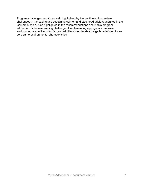Program challenges remain as well, highlighted by the continuing longer-term challenges in increasing and sustaining salmon and steelhead adult abundance in the Columbia basin. Also highlighted in the recommendations and in this program addendum is the overarching challenge of implementing a program to improve environmental conditions for fish and wildlife while climate change is redefining those very same environmental characteristics.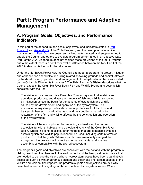# <span id="page-7-0"></span>**Part I: Program Performance and Adaptive Management**

# <span id="page-7-1"></span>**A. Program Goals, Objectives, and Performance Indicators**

In this part of the addendum, the goals, objectives, and indicators stated in [Part](https://www.nwcouncil.org/reports/2014-columbia-river-basin-fish-and-wildlife-program/iii-goals-and-objectives)  [Three,](https://www.nwcouncil.org/reports/2014-columbia-river-basin-fish-and-wildlife-program/iii-goals-and-objectives) III and [Appendix D](https://www.nwcouncil.org/reports/2014-columbia-river-basin-fish-and-wildlife-program/appendix-d-program-goals-and-objectives) of the 2014 Program, and the description of adaptive management in [Part](https://www.nwcouncil.org/reports/2014-columbia-river-basin-fish-and-wildlife-program/part-four-adaptive-management) IV, have been reorganized, reformulated, and supplemented to enable the Council and others to evaluate program performance in an effective way. Part I of the 2020 Addendum does not replace these provisions of the 2014 Program, but to the extent there is a conflict or explicit difference between the two, Part I of the 2020 Addendum is the controlling document.

Under the Northwest Power Act, the Council is to adopt a program "to protect, mitigate and enhance fish and wildlife, including related spawning grounds and habitat, affected by the development, operation, and management of the hydroelectric facilities located on the Columbia River or its tributaries." The 2014 Program's **Vision** describes what the Council expects the Columbia River Basin Fish and Wildlife Program to accomplish, consistent with the Act:

The vision for this program is a Columbia River ecosystem that sustains an abundant, productive, and diverse community of fish and wildlife, supported by mitigation across the basin for the adverse effects to fish and wildlife caused by the development and operation of the hydrosystem. This envisioned ecosystem provides abundant opportunities for tribal trust and treaty-right harvest, non-tribal harvest, and the conditions that allow for restoration of the fish and wildlife affected by the construction and operation of the hydrosystem.

The vision will be accomplished by protecting and restoring the natural ecological functions, habitats, and biological diversity of the Columbia River Basin. Where this is not feasible, other methods that are compatible with selfsustaining fish and wildlife populations will be used, including certain forms of production of hatchery fish. Where impacts have irrevocably changed the ecosystem, the program will protect and enhance habitat and species assemblages compatible with the altered ecosystem.

The program's goals and objectives are consistent with the Act and with the program's vision, describing the changes in the environment and the biological performance that are needed to achieve the vision. Where hydrosystem losses have been quantitatively assessed, such as with anadromous salmon and steelhead and certain aspects of the wildlife and resident fish impacts, the program's goals and objectives are explicitly described in terms of mitigating for those quantified hydrosystem losses. Where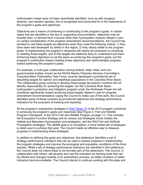hydrosystem losses have not been specifically identified, such as with sturgeon, lamprey, and resident species, this is recognized and accounted for in the statements of the program's goals and objectives.

Objectives are a means of achieving or contributing to the program's goals. In certain cases that are identified in the text or supporting documentation, objectives may be broader than, or derived from a source other than hydrosystem impacts. Based in part on careful consideration of the program amendment recommendations, the Council has decided to use these targets as objectives when they meet the following criteria: 1) they have been well developed by others in the region; 2) they clearly relate to the program goals; 3) implementing the program's measures will clearly be necessary to contribute to meeting these targets; and 4) the targets are relatively easy to understand and track. Achieving these objectives is not the same as achieving the program's goals, but the program's contribution toward meeting these objectives also demonstrates progress toward achieving the program's goals.

For example, a multi-year collaboration among federal, state, tribal, and nongovernmental entities, known as the NOAA Marine Fisheries Advisory Committee's Columbia Basin Partnership Task Force, recently developed a provisional set of rebuilding targets for salmon and steelhead populations in the Columbia River Basin. The collaborative group working to develop these target abundance numbers did not identify responsibility for achieving the targets, but the Columbia River Basin hydrosystem's protection and mitigation program under the Northwest Power Act will contribute significantly toward achieving these targets. Based in part on program amendment recommendations urging the Council to make use of this work, the Council identifies some of these numbers as provisional objectives and strategy performance indicators for the purposes of tracking and reporting.

All the program's substantive strategies in [Part Three, IV](https://www.nwcouncil.org/reports/2014-columbia-river-basin-fish-and-wildlife-program/iv-strategies-how-program-will-achieve-changes) of the 2014 program contribute to achieving the program's goals and objectives (See Figure 2, Fish and Wildlife Program Framework, in the 2014 Fish and Wildlife Program at page 11). This includes the Ecosystem Function Strategy and its various sub-strategies (most notably the Habitat and Mainstem Hydrosystem sub-strategies), and the Wild Fish and Artificial Propagation strategies. The wildlife goal is an exception; a more limited set of strategies is relied upon to achieve that goal. The Council needs an effective way to measure progress in implementing these strategies.

In addition to defining the goals and objectives, this addendum identifies a set of strategy performance indicators that can be used to assess progress in implementing the program strategies and improve the ecological and population conditions of the focal species. While a set of strategy performance indicators are identified in this addendum, the Council does not intend these to be formally part of the addendum. The Council, in collaboration with others, will develop and use the indicators as tracking tools that can be refined and changed outside of an amendment process, as better numbers or better indicators become available. The Council intends to continue working with the state and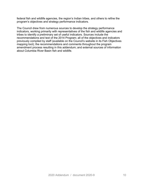federal fish and wildlife agencies, the region's Indian tribes, and others to refine the program's objectives and strategy performance indicators.

The Council drew from numerous sources to develop the strategy performance indicators, working primarily with representatives of the fish and wildlife agencies and tribes to identify a preliminary set of useful indicators. Sources include the recommendations and text of the 2014 Program; all of the objectives and indicators previously compiled by staff (available on the Council's website in its Fish Objectives mapping tool); the recommendations and comments throughout the program amendment process resulting in this addendum; and external sources of information about Columbia River Basin fish and wildlife.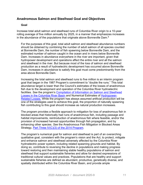# <span id="page-10-0"></span>**Anadromous Salmon and Steelhead Goal and Objectives**

## **Goal**

Increase total adult salmon and steelhead runs of Columbia River origin to a 10-year rolling average of five million annually by 2025, in a manner that emphasizes increases in the abundance of the populations that originate above Bonneville Dam. $^8$  $^8$ 

For the purposes of this goal, total adult salmon and steelhead abundance numbers should be obtained by combining the number of adult salmon of all species counted at Bonneville Dam, the number of fish spawning below Bonneville Dam, and the estimated number of salmon caught in the ocean and in rivers below Bonneville Dam. Increases in abundance everywhere in the river are important, given that hydropower development and operations affect the entire river and all the salmon and steelhead in the river. But because most of the loss of salmon and steelhead production as a result of hydroelectric development has occurred above Bonneville Dam, increases in abundance to satisfy this goal must come predominantly from the area above Bonneville Dam.

Increasing the total salmon and steelhead runs to five million is an interim program goal that began in the 1987 Program's commitment to "double the runs." This total abundance target is lower than the Council's estimates of the losses of anadromous fish due to the development and operation of the Columbia River hydroelectric facilities. *See* the program's [Compilation of Information on Salmon and Steelhead](https://www.nwcouncil.org/sites/default/files/AppendixDLosses_0.pdf) [Losses in the Columbia River Basin](https://www.nwcouncil.org/sites/default/files/AppendixDLosses_0.pdf) and Numerical Estimates of [Hydropower-](https://www.nwcouncil.org/sites/default/files/AppendixENumericalEstimates.pdf)[Related Losses.](https://www.nwcouncil.org/sites/default/files/AppendixENumericalEstimates.pdf) While the program has always assumed artificial production will be one of the strategies used to achieve this goal, the proportion of naturally spawning fish contributing to this goal should increase as natural production increases.

The program provides a flexible approach to mitigation for loss of anadromous fish in blocked areas that historically had runs of anadromous fish, including passage and habitat improvements, reintroduction of anadromous fish where feasible, and/or the provision of increased harvest opportunities through fish propagation, and by enhancing other species. *See* the Anadromous Fish Mitigation in Blocked Areas Strategy, Part Three [IV\(C\)\(3\) of the 2014 Program.](https://www.nwcouncil.org/reports/2014-columbia-river-basin-fish-and-wildlife-program/3-anadromous-fish-mitigation-blocked-areas)

The program's numerical goal for salmon and steelhead is part of an overarching qualitative goal, consistent with the program's vision and the Act, to protect, mitigate and enhance salmon and steelhead adversely affected by the Columbia River hydroelectric power system, including related spawning grounds and habitat. By doing so, contribute to reversing the decline in populations and making progress toward restoring and then maintaining stable healthy populations of salmon and steelhead that support sustainable fisheries and allow for desired expressions of traditional cultural values and practices. Populations that are healthy and support sustainable fisheries are defined as abundant, productive, genetically diverse, and spatially distributed within the Columbia River Basin, and provide ample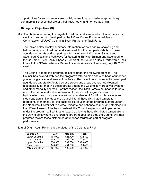opportunities for subsistence, ceremonial, recreational and (where appropriate) commercial fisheries that are of tribal trust, treaty, and non-treaty origin.

# **Biological Objectives (S)**

S1 - Contribute to achieving the targets for salmon and steelhead adult abundance by stock and subregion developed by the NOAA Marine Fisheries Advisory Committee's (MAFAC) Columbia Basin Partnership Task Force.

The tables below display summary information for both natural-spawning and hatchery-origin adult salmon and steelhead. For the complete details on these abundance targets and supporting information see A Vision for Salmon and Steelhead, Goals and Pathways for Restoring Thriving Salmon and Steelhead to the Columbia River Basin. Phase 2 Report of the Columbia Basin Partnership Task Force to the NOAA Fisheries Marine Fisheries Advisory Committee, July 16, 2020 version.

The Council adopts this program objective under the following premise: The Council has never distributed the program's total salmon and steelhead abundance goal among stocks and areas of the basin. The Task Force has recently developed abundance targets distributed across stocks and areas but has not allocated responsibility for meeting those targets among the Columbia hydropower system and other mortality sources. For that reason, the Task Force's abundance targets are not to be understood as a division of the Council program's interim hydrosystem goal of an average annual abundance of 5 million total salmon and steelhead adults. Nor does the Council intend these distributed targets to represent, by themselves, the basis for distribution of the program's effort under the Northwest Power Act to protect, mitigate and enhance salmon and steelhead in the different areas of the basin. Instead, the Council expects work implemented under the program will contribute toward achieving these distributed targets along the way to achieving the overarching program goal, and thus the Council will track progress toward these distributed abundance targets as part of program performance.

| Subregion               | Low     | <b>Medium</b> | High      |
|-------------------------|---------|---------------|-----------|
| Lower Columbia          | 193,900 | 426,700       | 772,500   |
| Mid-Columbia            | 109,200 | 303,000       | 678,400   |
| Upper Columbia          | 634,300 | 1,539,500     | 3,480,600 |
| <b>Snake River</b>      | 143,600 | 451,600       | 836,400   |
| <b>Willamette River</b> | 101,000 | 198,000       | 334,000   |

Natural Origin Adult Returns to the Mouth of the Columbia River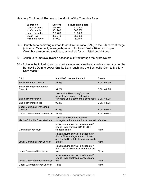Hatchery Origin Adult Returns to the Mouth of the Columbia River

| <b>Subregion</b>        | <b>Current</b> | <b>Future anticipated</b> |
|-------------------------|----------------|---------------------------|
| Lower Columbia          | 425,800        | 427.800                   |
| Mid-Columbia            | 381,700        | 385,500                   |
| Upper Columbia          | 265,700        | 610,400                   |
| <b>Snake River</b>      | 362,270        | 386,900                   |
| <b>Willamette River</b> | 64,000         | 67,700                    |

- S2 Contribute to achieving a smolt-to-adult return ratio (SAR) in the 2-6 percent range (minimum 2-percent; average 4-percent) for listed Snake River and upper Columbia salmon and steelhead, as well as for non-listed populations.
- S3 Continue to improve juvenile passage survival through the hydrosystem.
- S4 Achieve the following annual adult salmon and steelhead survival standards for the Bonneville Dam to Lower Granite Dam reach and the Bonneville Dam to McNary Dam reach: [9](#page-46-9)

| ESU                                    | Adult Performance Standard                                                                                                     | Reach             |
|----------------------------------------|--------------------------------------------------------------------------------------------------------------------------------|-------------------|
| <b>Snake River fall Chinook</b>        | 81.2%                                                                                                                          | <b>BON to LGR</b> |
| Snake River spring-summer<br>Chinook   | 91.0%                                                                                                                          | <b>BON</b> to LGR |
| Snake River sockeye                    | Use Snake River spring/summer<br>chinook salmon and steelhead as<br>surrogate until a standard is developed                    | <b>BON</b> to LGR |
| Snake River steelhead                  | 90.1%                                                                                                                          | <b>BON to LGR</b> |
| Upper Columbia River spring<br>Chinook | 90.1%                                                                                                                          | <b>BON to MCN</b> |
| Upper Columbia River steelhead         | 84.5%                                                                                                                          | <b>BON to MCN</b> |
| Middle Columbia River steelhead        | Use Snake River steelhead as<br>surrogate until a standard is developed                                                        | Variable          |
| Columbia River chum                    | None; assume survival is adequate if<br>Snake River chinook BON to LGR<br>standard is met                                      | None              |
| Lower Columbia River Chinook           | None; assume survival is adequate if<br>Snake River spring/summer chinook<br>and Snake River fall chinook standards<br>are met | None              |
| Lower Columbia River coho              | None; assume survival is adequate if<br>Snake River fall chinook standards are<br>met                                          | None              |
| Lower Columbia River steelhead         | None; assume survival is adequate if<br>Snake River steelhead standards are<br>met                                             | None              |
| Upper Willamette River Chinook         | None                                                                                                                           | None              |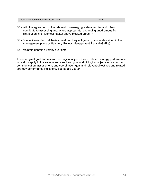| Upper Willamette River steelhead None | None |
|---------------------------------------|------|
|                                       |      |

- S5 With the agreement of the relevant co-managing state agencies and tribes, contribute to assessing and, where appropriate, expanding anadromous fish distribution into historical habitat above blocked areas.<sup>[10](#page-46-10)</sup>
- S6 Bonneville-funded hatcheries meet hatchery mitigation goals as described in the management plans or Hatchery Genetic Management Plans (HGMPs).
- S7 Maintain genetic diversity over time.

The ecological goal and relevant ecological objectives and related strategy performance indicators apply to the salmon and steelhead goal and biological objectives, as do the communication, assessment, and coordination goal and relevant objectives and related strategy performance indicators. See pages 233-24.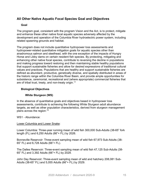# <span id="page-14-0"></span>**All Other Native Aquatic Focal Species Goal and Objectives**

# **Goal**

The program goal, consistent with the program Vision and the Act, is to protect, mitigate and enhance these other native focal aquatic species adversely affected by the development and operation of the Columbia River hydroelectric power system, including related spawning grounds and habitat.

The program does not include quantitative hydropower loss assessments and hydropower-related quantitative mitigation goals for aquatic species other than anadromous salmon and steelhead, with the one exception of the impacts of Hungry Horse and Libby dams on certain resident fish species. By protecting, mitigating and enhancing other native focal species, contribute to reversing the decline in populations and making progress toward restoring and then maintaining stable healthy populations that support sustainable fisheries and allow for desired expressions of traditional cultural values and practices. Populations that are healthy and support sustainable fisheries are defined as abundant, productive, genetically diverse, and spatially distributed in areas of the historic range within the Columbia River Basin, and provide ample opportunities for subsistence, ceremonial, recreational and (where appropriate) commercial fisheries that are of tribal trust, treaty, and non-treaty origin.<sup>[11](#page-47-0)</sup>

# **Biological Objectives**

# **White Sturgeon (WS)**

In the absence of quantitative goals and objectives based in hydropower loss assessments, contribute to achieving the following White Sturgeon adult abundance targets, as well as other population characteristics, derived from sturgeon management plans across the region: [12](#page-47-1)

# WS1 - Abundance:

# Lower Columbia and Lower Snake:

Lower Columbia: Three-year running mean of wild fish 300,000 Sub-Adults (38-65" fork length (FL) and 6,250 Adults (66"+ FL) by 2026.

Bonneville Reservoir: Three-event sampling mean of wild fish 67,973 Sub-Adults (38- 65" FL) and 6,728 Adults (66"+ FL).

The Dalles Reservoir: Three-event sampling mean of wild fish 47,125 Sub-Adults (38- 65" FL) and 3,392 Adults (66"+ FL) by 2029.

John Day Reservoir**:** Three-event sampling mean of wild and hatchery 208,081 Sub-Adults (38-65" FL) and 5,055 Adults (66"+ FL) by 2029.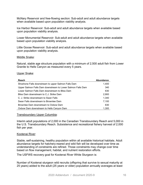McNary Reservoir and free-flowing section: Sub-adult and adult abundance targets when available based upon population viability analysis.

Ice Harbor Reservoir: Sub-adult and adult abundance targets when available based upon population viability analysis.

Lower Monumental Reservoir: Sub-adult and adult abundance targets when available based upon population viability analysis.

Little Goose Reservoir: Sub-adult and adult abundance targets when available based upon population viability analysis.

## Middle Snake:

Natural, stable age structure population with a minimum of 2,500 adult fish from Lower Granite to Hells Canyon as measured every 5 years.

#### Upper Snake:

| <b>Reach</b>                                                | <b>Abundance</b> |
|-------------------------------------------------------------|------------------|
| Shoshone Falls downstream to upper Salmon Falls Dam         | 1,400            |
| Upper Salmon Falls Dam downstream to Lower Salmon Falls Dam | 340              |
| Lower Salmon Falls Dam downstream to Bliss Dam              | 630              |
| Bliss Dam downstream to C.J. Strike Dam                     | 2,900            |
| C. J. Strike downstream to Swan Falls                       | 1.340            |
| Swan Falls downstream to Brownlee Dam                       | 7.100            |
| Brownlee Dam downstream to Oxbow Dam                        | 630              |
| Oxbow Dam downstream to Hells Canyon Dam                    | 1,300            |

#### Transboundary Upper Columbia:

Interim adult populations of 2,000 in the Canadian Transboundary Reach and 5,000 in the U.S. Transboundary Reach. Subsistence and recreational fishery harvest of 2,000 fish per year.

#### Kootenai River:

Stable, self-sustaining, healthy population within all available historical habitats. Adult abundance targets for hatchery-reared and wild fish will be developed over time as understanding of constraints are refined. Those constraints may change over time based on flow management, habitat, and nutrient restoration efforts.

The USFWS recovery goal for Kootenai River White Sturgeon is:

Number of Kootenai sturgeon wild recruits (offspring that survive to sexual maturity at 25 years) added to the adult (25 years or older) population annually averages at least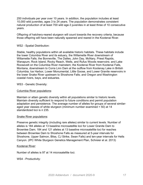250 individuals per year over 10 years. In addition, the population includes at least 10,000 wild juveniles, ages 3 to 24 years. The population demonstrates consistent natural production of at least 700 wild age-3 juveniles in at least three of 10 consecutive years.

Offspring of hatchery-reared sturgeon will count towards the recovery criteria, because those offspring will have been naturally spawned and reared in the Kootenai River.

## WS2 - Spatial Distribution:

Stable, healthy populations within all available historic habitats. These habitats include the lower Columbia River and its estuary, the Willamette River downstream of Willamette Falls; the Bonneville, The Dalles, John Day, McNary, Priest Rapids, Wanapum, Rock Island, Rocky Reach, Wells, and Rufus Woods reservoirs; and Lake Roosevelt on the Columbia River mainstem; the Kootenai River from Kootenai Falls, Montana, downstream to Corra Linn Dam at the outflow from Kootenay Lake in British Columbia; Ice Harbor, Lower Monumental, Little Goose, and Lower Granite reservoirs in the lower Snake River upstream to Shoshone Falls; and Oregon and Washington coastal rivers, bays, and estuaries.

#### WS3 - Genetic Diversity:

## Columbia River populations:

Maintain or attain genetic diversity within all populations similar to historic levels. Maintain diversity sufficient to respond to future conditions and permit population adaptation and persistence. The average number of alleles for groups of several similaraged year classes of white sturgeon (minimum number examined = 50) at 14 standardized loci is ≥ 235.

# Snake River populations:

Preserve genetic integrity (including rare alleles) similar to current levels. Number of alleles is 184 alleles at 13 baseline microsatellite loci for Lower Granite Dam to Brownlee Dam; 184 and 121 alleles at 13 baseline microsatellite loci for reaches between Brownlee Dam to Shoshone Falls as measured at 5-year intervals for Shoshone, Upper Salmon, Bliss, CJ Strike, Swan Falls) and ten-year intervals for Hells Canyon. (IPC White Sturgeon Genetics Management Plan, Schreier et al. 2013)

#### Kootenai River:

Number of alleles is 97 at 14 microsatellite loci.

WS4 - Productivity: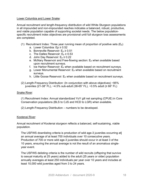## Lower Columbia and Lower Snake:

Annual recruitment and length-frequency distribution of wild White Sturgeon populations in all impounded and non-impounded reaches indicates a balanced, robust, productive, and viable population capable of supporting societal needs. The below populationspecific recruitment index objectives are provisional until full sturgeon loss assessments are completed.

- (1) Recruitment Index: Three year running mean of proportion of positive sets  $(E<sub>p</sub>)$ 
	- a. Lower Columbia: Ep ≥ 0.52
	- b. Bonneville Reservoir:  $E_p \ge 0.51$
	- c. The Dalles Reservoir:  $E_p \ge 0.53$
	- d. John Day Reservoir:  $E_p \geq 0.22$
	- e. McNary Reservoir and Free-flowing section: Ep when available based upon recruitment surveys.
	- f. Ice Harbor Reservoir:  $E_p$  when available based on recruitment surveys.
	- g. Lower Monumental Reservoir: Ep when available based on recruitment surveys.
	- h. Little Goose Reservoir: Ep when available based on recruitment surveys.
- (2) Length-Frequency Distribution: (In conjunction with above objectives) ~95% juveniles (21-38" FL), ~4.5% sub-adult (38-65" FL), ~0.5% adult (≥ 66" FL)

#### Snake River:

(1) Recruitment Index: Annual standardized YoY gill net sampling (CPUE) in Core Conservation populations (BLS to CJS and HCD to LGR) when available.

(2) Length-Frequency Distribution – numbers to be developed.

#### Kootenai River:

Annual recruitment of Kootenai sturgeon reflects a balanced, self-sustaining, viable population.

The USFWS downlisting criteria is production of wild age-3 juveniles occurring at] an annual average of at least 700 individuals over 10 consecutive years. Production of 700 or more wild age-3 juveniles should occur in at least 3 of the 10 years, ensuring the annual average is not the result of an anomalous singleyear event.

The USFWS delisting criteria is the number of wild recruits (offspring that survive to sexual maturity at 25 years) added to the adult (25 years or older) population annually averages at least 250 individuals per year over 10 years and includes at least 10,000 wild juveniles aged from 3 to 24 years.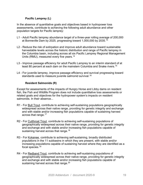# **Pacific Lamprey (L)**

In the absence of quantitative goals and objectives based in hydropower loss assessments, contribute to achieving the following adult abundance and other population targets for Pacific lamprey:

- L1 Adult Pacific lamprey abundance target of a three-year rolling average of 200,000 at Bonneville Dam by 2025, progressing toward 1,000,000 by 2035.<sup>[13](#page-47-2)</sup>
- L2 Reduce the risk of extirpation and improve adult abundance toward sustainable harvestable levels across the historic distribution and range of Pacific lamprey in the Columbia basin, including across all six Pacific Lamprey Regional Management Units (RMU), measured every five years.<sup>[14](#page-47-3)</sup>
- L3 Improve passage efficiency for adult Pacific Lamprey to an interim standard of at least 80 percent at each dam on the mainstem Columbia and Snake rivers.[15](#page-47-4)
- L4 For juvenile lamprey, improve passage efficiency and survival progressing toward standards used to measure juvenile salmonid survival.<sup>[16](#page-47-5)</sup>

# **Resident Salmonids (R)**

Except for assessments of the impacts of Hungry Horse and Libby dams on resident fish, the Fish and Wildlife Program does not include quantitative loss assessments or related goals and objectives for the hydropower system's impacts on resident salmonids. In their absence.

- R1 For Bull Trout, contribute to achieving self-sustaining populations geographically widespread across their native range, providing for genetic integrity and exchange and with stable and/or increasing fish populations capable of sustaining harvest across that range.<sup>[17](#page-47-6)</sup>
- R2 For Cutthroat Trout, contribute to achieving self-sustaining populations of geographically widespread across their native range, providing for genetic integrity and exchange and with stable and/or increasing fish populations capable of sustaining harvest across that range.<sup>[18](#page-47-7)</sup>
- R3 For Kokanee, contribute to achieving self-sustaining, broadly distributed populations in the 11 subbasins in which they are present, with stable and/or increasing populations capable of sustaining harvest where they are identified as a focal species. [19](#page-47-8)
- R4 For Redband Trout, contribute to achieving self-sustaining populations of geographically widespread across their native range, providing for genetic integrity and exchange and with stable and/or increasing fish populations capable of sustaining harvest across that range.<sup>[20](#page-48-0)</sup>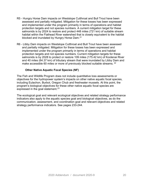- R5 Hungry Horse Dam impacts on Westslope Cutthroat and Bull Trout have been assessed and partially mitigated. Mitigation for these losses has been expressed and implemented under the program primarily in terms of operations and habitat protection targets and not species numbers. A current mitigation target for these salmonids is by 2024 to restore and protect 448 miles (721 km) of suitable stream habitat within the Flathead River watershed that is closely equivalent to the habitat blocked and inundated by Hungry Horse Dam. [21](#page-48-1)
- R6 Libby Dam impacts on Westslope Cutthroat and Bull Trout have been assessed and partially mitigated. Mitigation for these losses has been expressed and implemented under the program primarily in terms of operations and habitat protection targets and not species numbers. Current mitigation targets for these salmonids is by 2028 to protect or restore 109 miles (175.42 km) of Kootenai River and 40 miles (64.37 km) of tributary stream that were inundated by Libby Dam and make accessible 60 miles or more of previously blocked suitable streams. <sup>[22](#page-48-2)</sup>

# **Other Native Aquatic Focal Species (NF)**

The Fish and Wildlife Program does not include quantitative loss assessments or objectives for the hydropower system's impacts on other native aquatic focal species, including Eulachon, Burbot, Oregon Chub and freshwater mussels. At this point, the program's biological objectives for these other native aquatic focal species are expressed in the goal statement. $23$ 

The ecological goal and relevant ecological objectives and related strategy performance indicators also apply to the aquatic species goal and biological objectives, as do the communication, assessment, and coordination goal and relevant objectives and related strategy performance indicators. See pages 233-244.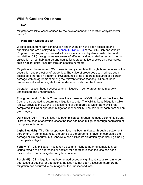# <span id="page-20-0"></span>**Wildlife Goal and Objectives**

# **Goal**

Mitigate for wildlife losses caused by the development and operation of hydropower dams. [24](#page-48-4)

# **Mitigation Objectives (W)**

Wildlife losses from dam construction and inundation have been assessed and quantified and are displayed in [Appendix C, Table C-4](https://www.nwcouncil.org/reports/2014-columbia-river-basin-fish-and-wildlife-program/appendix-c-wildlife-mitigation-priorities-construction-and-inundation-loss-assessments-and#loss) of the 2014 Fish and Wildlife Program. The program expressed wildlife losses caused by dam construction and inundation (C&I) through a measurement of affected and inundated acres and then a calculation of lost habitat area and quality for representative species on those acres, called habitat units (HU), not through species numbers.

Mitigation for the assessed C&I losses is nearly complete, through three decades of the acquisition and protection of properties. The value of properties acquired has been assessed either as an amount of HUs acquired or as properties acquired of a certain acreage with an agreement among the relevant entities that acquisition of these properties sufficed to mitigate for an understood portion of the losses.

Operation losses, though assessed and mitigated in some areas, remain largely unassessed and unaddressed.

Though Appendix C, table C4 remains the expression of C&I mitigation objectives, the Council also wanted to determine mitigation to date. The Wildlife Loss Mitigation table (below) provides the Council's assessment of the degree to which Bonneville has completed its C&I or operation mitigation responsibility. The colors for each dam or dam group signify:

**Dark Blue (DB)** - The C&I loss has been mitigated through the acquisition of sufficient HUs; in the case of operation losses the loss has been mitigated through acquisition of the appropriate metric.

**Light Blue (LB)** - The C&I or operation loss has been mitigated through a settlement agreement. In some instances, the parties to the agreement have not completed the acreage or HU amounts, but Bonneville has fulfilled its obligation by dedicating funding to complete mitigation.

**Yellow (Y)** - C&I mitigation has taken place and might be nearing completion, but issues remain to be addressed or settled; for operation losses the loss has been assessed and some mitigation may have occurred.

**Purple (P)** - C&I mitigation has been unaddressed or significant issues remain to be addressed or settled; for operations, the loss has not been assessed, therefore no mitigation has occurred to count against the unassessed loss.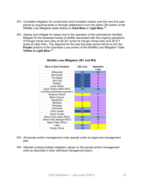- W1 Complete mitigation for construction and inundation losses over the next five-year period by acquiring lands or through settlement to turn the entire C&I portion of the Wildlife Loss Mitigation table (below) to **Dark Blue** or **Light Blue**. [25](#page-48-5)
- W2 Assess and mitigate for losses due to the operation of the hydroelectric facilities. Mitigate for the assessed losses of wildlife associated with the ongoing operations of Hungry Horse and Libby at 26,321 acres for Hungry Horse Dam and 35,571 acres at Libby Dam. The objective for the next five-year period will be to turn the **Purple** portions of the Operation Loss portion of the Wildlife Loss Mitigation Table **Yellow or Light Blue**. [26](#page-49-0)

| <b>Dam or Dam Complex</b>                                | <b>C&amp;I Loss</b> | <b>Operation</b><br>Loss |
|----------------------------------------------------------|---------------------|--------------------------|
| Willamette                                               | <b>LB</b>           | <b>LB</b>                |
| <b>Bonneville</b>                                        | DB                  | P                        |
| The Dalles                                               | DB                  | P                        |
| John Day                                                 | DB                  | P                        |
| <b>McNary</b>                                            | DB                  | P                        |
| <b>Lower Snake</b>                                       | DB                  | P                        |
| Upper Snake (Idaho MOA,<br>including Deadwood operation) | LB                  | LB                       |
| Anderson Ranch                                           | Y                   | P                        |
| <b>Black Canyon</b>                                      | P                   | P                        |
| Deadwood                                                 | P                   | P                        |
| Minidoka                                                 | Y                   | P                        |
| Palisades                                                | Y                   | P                        |
| Dworshak                                                 | <b>LB</b>           | P                        |
| Chief Joseph                                             | DB                  | P                        |
| <b>Grand Coulee</b>                                      | Y                   | P                        |
| Albeni Falls (Idaho MOA)                                 | LB                  | <b>LB</b>                |
| Albeni Falls (Kalispel MOU)                              | LB                  | P                        |
| Albeni Falls (Other)                                     | Y                   | P                        |
| Libby                                                    | LВ                  | Y                        |
| <b>Hungry Horse</b>                                      | LB                  | Y                        |

# **Wildlife Loss Mitigation (W1 and W2)**

- W3 All parcels and/or management units operate under an approved management plan.
- W4 Maintain existing habitat mitigation values on the parcels and/or management units as described in their individual management plans.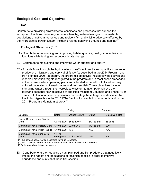# <span id="page-22-0"></span>**Ecological Goal and Objectives**

# **Goal**

Contribute to providing environmental conditions and processes that support the ecosystem functions necessary to restore healthy, self-sustaining and harvestable populations of native anadromous and resident fish and wildlife adversely affected by the hydroelectric power system, including related spawning grounds and habitat. $27$ 

# **Ecological Objectives (E)**[28](#page-49-2)

- E1 Contribute to maintaining and improving habitat quantity, quality, connectivity, and functions while taking into account climate change.
- E2 Contribute to maintaining and improving water quantity and quality.
- E3 Provide flows through the hydrosystem of sufficient quality and quantity to improve production, migration, and survival of fish[.29](#page-49-3) As described in the 2014 Program and Part II of this 2020 Addendum, the program's objectives include flow objectives and reservoir elevation targets recognized in the program and in most cases embedded in the federal system operating plans and intended to benefit both listed and key unlisted populations of anadromous and resident fish. These objectives include managing water through the hydroelectric system to attempt to achieve the following seasonal flow objectives at specified mainstem Columbia and Snake River dams, with limitations and adjustments on meeting these targets as described by the Action Agencies in the 2018 ESA Section 7 consultation documents and in the 2014 Program's Mainstem strategy. $^{\rm 30}$  $^{\rm 30}$  $^{\rm 30}$

|                                                                                                                                                                                       |                                       | Spring                    |                | Summer           |
|---------------------------------------------------------------------------------------------------------------------------------------------------------------------------------------|---------------------------------------|---------------------------|----------------|------------------|
| Location                                                                                                                                                                              | Dates                                 | Objective (kcfs)          | <b>Dates</b>   | Objective (kcfs) |
| Snake River at Lower Granite<br>Dam                                                                                                                                                   | 4/03 to 6/20 85 to 100 <sup>(1)</sup> |                           | $6/21$ to 8/31 | 55 to $55^{(1)}$ |
| Columbia River at McNary Dam                                                                                                                                                          | $4/10$ to 6/30                        | 220 to 260 <sup>(1)</sup> | 7/01 to 8/31   | 200              |
| Columbia River at Priest Rapids                                                                                                                                                       | 4/10 to 6/30                          | 135                       | N/A            | N/A              |
| Columbia River at Bonneville<br>Dam                                                                                                                                                   | 11/1 to<br>emergence                  | 125 to $160^{(2)}$        | N/A            | N/A              |
| (1) the kcfs objective varies according to value forecasts.<br>(2) the kcfs objective varies based on actual and forecasted water conditions.<br>Kcfs: thousand cubic feet per second |                                       |                           |                |                  |

E4 - Contribute to further reducing avian, pinniped and fish predators that negatively impact the habitat and populations of focal fish species in order to improve abundance and survival of these fish species.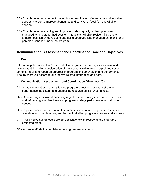- E5 Contribute to management, prevention or eradication of non-native and invasive species in order to improve abundance and survival of focal fish and wildlife species.
- E6 Contribute to maintaining and improving habitat quality on land purchased or managed to mitigate for hydrosystem impacts on wildlife, resident fish, and/or anadromous fish by developing and using approved land management plans for all parcels purchased under the program.

# **Communication, Assessment and Coordination Goal and Objectives**

# **Goal**

Inform the public about the fish and wildlife program to encourage awareness and involvement, including consideration of the program within an ecological and social context. Track and report on progress in program implementation and performance. Secure improved access to all program-related information and data.<sup>31</sup>

# **Communication, Assessment, and Coordination Objectives (C)**

- C1 Annually report on progress toward program objectives, program strategy performance indicators, and addressing research critical uncertainties.
- C2 Review progress toward achieving objectives and strategy performance indicators and refine program objectives and program strategy performance indicators as needed.
- C3 Improve access to information to inform decisions about program investments, operation and maintenance, and factors that affect program activities and success.
- C4 Track FERC hydroelectric project applications with respect to the program's protected areas.
- C5 Advance efforts to complete remaining loss assessments.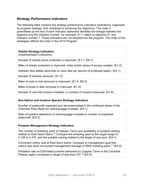# <span id="page-24-0"></span>**Strategy Performance Indicators**

The following table contains the strategy performance indicators (indicators), organized by program strategy, that contribute to achieving the objectives. The code in parenthesis at the end of each indicator statement identifies the linkage between the objective and the indicator number; for example, S1-1 refers to objective S1 and indicator number 1. These indicators are not adopted into the program. The order of the strategies reflects the order in the 2014 Program.

# **Habitat Strategy Indicators**

(Implementation indicators)

Number of habitat acres protected or improved. (E1-1, E6-1)

Miles of stream protected or improved; miles and/or acres of access created. (E1-2)

Instream flow added (acre-feet or cubic feet per second of protected water). (E2-1)

Number of barriers removed. (E1-3)

Miles of road or trail removed or improved. (E1-4, E6-2)

Miles of levee or dike removed or improved. (E1-5)

Number of new fish screens installed, or number of screens improved. (E1-6)

# **Non-Native and Invasive Species Strategy Indicators**

Number of watercraft inspected and decontaminated in the northwest states of the Columbia River Basin for zebra/quagga mussels. (E5-1)

Ratio of positive detections of zebra/quagga mussels to number of inspected watercraft. (E5-2)

# **Predator Management Strategy Indicators**

The number of breeding pairs of Caspian Terns and availability of suitable nesting habitat on East Sand Island.<sup>[32](#page-50-0)</sup> Compare the breeding pairs to the target range of 3,125 to 4,375, and the suitable nesting habitat to the target of one acre. (E4-1)

Cormorant colony size at East Sand Island. Compare to management goal that colony size does not exceed management average of 5600 breeding pairs. $^{\rm 33}$  $^{\rm 33}$  $^{\rm 33}$  (E4-2)

Predation rate on ESA-listed juvenile salmonids by Caspian Terns in the Columbia Plateau region compares to target of less than  $2\%$ .<sup>[34](#page-50-2)</sup> (E4-3)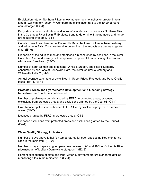Exploitation rate on Northern Pikeminnow measuring nine inches or greater in total length (228 mm fork length).<sup>[35](#page-50-3)</sup> Compare the exploitation rate to the 10-20 percent annual target. (E4-4)

Emigration, spatial distribution, and index of abundance of non-native Northern Pike in the Columbia River Basin. $^{36}\,$  Evaluate trend to determine if the numbers and range are reducing over time. (E4-5)

Counts of sea lions observed at Bonneville Dam, the lower Columbia River, estuary and Willamette Falls. Compare trend to determine if the impacts are decreasing over time. (E4-6)

Proportion of the adult salmon and steelhead run consumed by sea lions in the lower Columbia River and estuary, with emphasis on upper Columbia spring Chinook and wild Winter Steelhead. (E4-7)

Number of adult salmon and steelhead, White Sturgeon, and Pacific Lamprey consumed by sea lions at Bonneville Dam, the lower Columbia, estuary and Willamette Falls.<sup>[37](#page-50-5)</sup> (E4-8)

Annual average catch rate of Lake Trout in Upper Priest, Flathead, and Pend Oreille lakes. (R1-1, R3-1)

**Protected Areas and Hydroelectric Development and Licensing Strategy Indicators**Error! Bookmark not defined.

Number of preliminary permits issued by FERC in protected areas; proposed exclusions from protected areas; and exclusions granted by the Council. (C4-1)

Draft license applications submitted to FERC for hydroelectric projects in protected areas. (C4-2)

Licenses granted by FERC in protected areas. (C4-3)

Proposed exclusions from protected areas and exclusions granted by the Council.  $(C4-4)$ 

# **Water Quality Strategy Indicators**

Number of days above lethal fish temperatures for each species at fixed monitoring sites in the mainstem. (E2-2)

Number of days of spawning temperatures between 12C and 18C for Columbia River (downstream of McNary Dam) white sturgeon. [38](#page-50-6) (E2-3)

Percent exceedance of state and tribal water quality temperature standards at fixed monitoring sites in the mainstem.  $39$  (E2-4)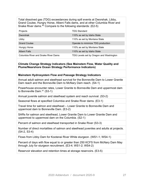Total dissolved gas (TDG) exceedances during spill events at Dworshak, Libby, Grand Coulee, Hungry Horse, Albeni Falls dams, and at other Columbia River and Snake River dams. [40](#page-51-0) Compare to the following standards: (E2-5)

| Projects                                   | <b>TDG Standard</b>                     |
|--------------------------------------------|-----------------------------------------|
| Dworshak                                   | 110% as set by Idaho State              |
| Libby                                      | 110% as set by Montana State            |
| <b>Grand Coulee</b>                        | Operate to minimize TDG production      |
| <b>Hungry Horse</b>                        | 110% as set by Montana State            |
| Albeni Falls                               | 110% as set by Idaho State              |
| <b>Columbia River and Snake River Dams</b> | TDG Levels set by Oregon and Washington |

## **Climate Change Strategy Indicators (See Mainstem Flow, Water Quality and Plume/Nearshore Ocean Strategy Performance Indicators)**

# **Mainstem Hydrosystem Flow and Passage Strategy Indicators**

Annual adult salmon and steelhead survival for the Bonneville Dam to Lower Granite Dam reach and the Bonneville Dam to McNary Dam reach. (S4-1)

Powerhouse encounter rates, Lower Granite to Bonneville Dam and uppermost dam to Bonneville Dam.<sup>[41](#page-51-1)</sup> (S3-1)

Annual juvenile salmon and steelhead system and reach survival. (S3-2)

Seasonal flows at specified Columbia and Snake River dams. (E3-1)

Travel time for salmon and steelhead – Lower Granite to Bonneville Dam and uppermost dam to Bonneville Dam. (E3-2)

SARs for salmon and steelhead, Lower Granite Dam to Lower Granite Dam and uppermost to uppermost dam on the Columbia. (S2-1)

Percent of salmon and steelhead transported in Snake River (S3-3)

Number of direct mortalities of salmon and steelhead juveniles and adults at projects. (S4-2, S3-4)

Flows from Libby Dam for Kootenai River White sturgeon. (WS1-1; WS4-1)

Percent of days with flow equal to or greater than 250 KCFS from McNary Dam May through July for sturgeon recruitment. (E3-4; WS1-2; WS4-2)

Reservoir elevation and retention times at storage reservoirs. (E3-5)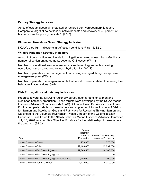# **Estuary Strategy Indicator**

Acres of estuary floodplain protected or restored per hydrogeomorphic reach. Compare to target of no net loss of native habitats and recovery of 40 percent of historic extent for priority habitats.<sup>[42](#page-51-2)</sup> (E1-7)

# **Plume and Nearshore Ocean Strategy Indicator**

NOAA's stop light indicator chart of ocean conditions. [43](#page-51-3) (S1-1, S2-2)

# **Wildlife Mitigation Strategy Indicators**

Amount of construction and inundation mitigation acquired at each hydro-facility or number of settlement agreements covering C&I losses. (W1-1)

Number of operational loss assessments or settlement agreements covering operational losses completed for each hydro-facility. (W2-1)

Number of parcels and/or management units being managed though an approved management plan. (W3-1)

Number of parcels or management units that report concerns related to meeting their habitat mitigation values. (W4-1)

# **Fish Propagation and Hatchery Indicators**

Progress toward the following regionally agreed-upon targets for salmon and steelhead hatchery production. These targets were developed by the NOAA Marine Fisheries Advisory Committee's (MAFAC) Columbia Basin Partnership Task Force. For the complete details on these targets and supporting information go to A Vision for Salmon and Steelhead, Goals and Pathways for Restoring Thriving Salmon and Steelhead to the Columbia River Basin. Phase 2 Report of the Columbia Basin Partnership Task Force to the NOAA Fisheries Marine Fisheries Advisory Committee, July 16, 2020 version. *See* Objective S1 above for the relationship of these targets to the program. (S1-2)

| Group                                             | Current<br>Hatchery<br>Juvenile<br>Production | <b>Future Total Hatchery</b><br>Juvenile Production |
|---------------------------------------------------|-----------------------------------------------|-----------------------------------------------------|
| Lower Columbia Chum                               | 770,000                                       | 770,000                                             |
| Lower Columbia Coho                               | 12,108,600                                    | 12,239,000                                          |
| Lower Columbia Fall Chinook (tules)               | 19,366,500                                    | 19,366,500                                          |
| Lower Columbia Fall Chinook (brights)             | 0                                             | O                                                   |
| Lower Columbia Fall Chinook (brights) Select Area | 2,100,000                                     | 2,100,000                                           |
| Lower Columbia Spring Chinook                     | 4.120.000                                     | 6,340,000                                           |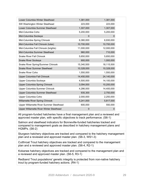| Lower Columbia Winter Steelhead         | 1,381,000   | 1,381,000  |
|-----------------------------------------|-------------|------------|
| SW Washington Winter Steelhead          | 223,000     | 223,000    |
| Lower Columbia Summer Steelhead         | 1,307,000   | 1,307,000  |
| Mid-Columbia Coho                       | 5,200,000   | 5,200,000  |
| Mid-Columbia Sockeye                    | $\Omega$    | $\Omega$   |
| Mid-Columbia Spring Chinook             | 6,380,000   | 6,930,000  |
| Mid-Columbia Fall Chinook (tules)       | 10,700,000  | 10,700,000 |
| Mid-Columbia Fall Chinook (brights)     | 11,000,000  | 12,000,000 |
| Mid-Columbia Summer Steelhead           | 960,000     | 710,000    |
| <b>Snake River Fall Chinook</b>         | 5,650,000   | 5,650,000  |
| <b>Snake River Sockeye</b>              | 900,000     | 1,000,000  |
| Snake River Spring/Summer Chinook       | 15,340,500  | 18,115,500 |
| <b>Snake River Summer Steelhead</b>     | 10,328,000  | 10,328,000 |
| Snake River Coho                        | 1,550,000   | 1,550,000  |
| Upper Columbia Fall Chinook             | 14,450,000  | 24,140,000 |
| Upper Columbia Sockeye                  | 4,500,000   | 14,100,000 |
| <b>Upper Columbia Spring Chinook</b>    | 3,094,000   | 10,200,000 |
| Upper Columbia Summer Chinook           | 4,286,000   | 14,400,000 |
| Upper Columbia Summer Steelhead         | 935,300     | 2,750,000  |
| Upper Columbia Coho                     | 2,000,000   | 2,250,000  |
| <b>Willamette River Spring Chinook</b>  | 5,241,000   | 5,817,000  |
| Upper Willamette River Summer Steelhead | 600,000     | 550,000    |
| Upper Willamette River Winter Steelhead | $\mathbf 0$ | 0          |
|                                         |             |            |

All program-funded hatcheries have a final management plan and a reviewed and approved master plan, with specific objectives to track performance. (S6-1)

Salmon and steelhead indicators for Bonneville-funded hatcheries tracked and compared to management goals as described in hatchery management plans and HGMPs. (S6-2)

Sturgeon hatchery objectives are tracked and compared to the hatchery management plan and a reviewed and approved master plan. (S6-3, WS1-3)

Cutthroat Trout hatchery objectives are tracked and compared to the management plan and a reviewed and approved master plan. (S6-4, R2-1)

Kokanee hatchery objectives are tracked and compared to the management plan and a reviewed and approved master plan. (S6-5, R3-1)

Redband Trout populations' genetic integrity is protected from non-native hatchery trout by program-funded hatchery actions. (R4-1)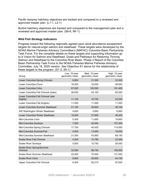Pacific lamprey hatchery objectives are tracked and compared to a reviewed and approved master plan. (L1-1, L2-1)

Burbot hatchery objectives are tracked and compared to the management plan and a reviewed and approved master plan. (S6-6, NF-1)

# **Wild Fish Strategy Indicators**

Progress toward the following regionally agreed-upon adult abundance escapement targets for natural-origin salmon and steelhead. These targets were developed by the NOAA Marine Fisheries Advisory Committee's (MAFAC) Columbia Basin Partnership Task Force. For the complete details on these targets and supporting information go to A Vision for Salmon and Steelhead, Goals and Pathways for Restoring Thriving Salmon and Steelhead to the Columbia River Basin. Phase 2 Report of the Columbia Basin Partnership Task Force to the NOAA Fisheries Marine Fisheries Advisory Committee, July 16, 2020 version. *See* Objective S1 above for the relationship of these targets to the program. (S1-3, S5-1)

| Group                                         | Low, 10-year<br>geometric mean | Med, 10-year<br>geometric mean | High, 10-year<br>geometric mean |
|-----------------------------------------------|--------------------------------|--------------------------------|---------------------------------|
| Lower Columbia Spring Chinook                 | 9,800                          | 21,550                         | 33,300                          |
| Lower Columbia Chum                           | 16,500                         | 33,000                         | 49,500                          |
| Lower Columbia Coho                           | 67,925                         | 129,550                        | 191,400                         |
| Lower Columbia Fall Chinook (tules)           | 28,050                         | 54,100                         | 82,000                          |
| Lower Columbia Fall Chinook (late<br>brights) | 11,100                         | 16,700                         | 22,200                          |
| Lower Columbia Fall (brights)                 | 11,000                         | 11,000                         | 11,000                          |
| Lower Columbia Summer Steelhead               | 21,100                         | 29,800                         | 38,100                          |
| SW Washington Winter Steelhead                | 4,650                          | 5,850                          | 6,950                           |
| Lower Columbia Winter Steelhead               | 19,000                         | 27,900                         | 36,400                          |
| Mid-Columbia Coho                             | 5,300                          | 11,600                         | 19,900                          |
| Mid-Columbia Sockeye                          | 7,500                          | 45,000                         | 107,500                         |
| Mid-Columbia Spring Chinook                   | 17,750                         | 40,425                         | 114,500                         |
| Mid-Columbia Summer/Fall                      | 4,000                          | 13,000                         | 16,000                          |
| Mid-Columbia Summer Steelhead                 | 21,500                         | 43,850                         | 69,150                          |
| <b>Snake River Fall Chinook</b>               | 4,200                          | 10,780                         | 23,360                          |
| <b>Snake River Sockeye</b>                    | 5,500                          | 15,750                         | 26,000                          |
| Snake River Spring/Summer<br>Chinook          | 33,500                         | 98,750                         | 159,500                         |
| <b>Snake River Summer Steelhead</b>           | 22,500                         | 75,000                         | 131,500                         |
| <b>Snake River Coho</b>                       | 8,900                          | 26,600                         | 44,100                          |
| Upper Columbia Fall Chinook                   | 9,200                          | 62,215                         | 87,835                          |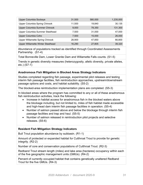| Upper Columbia Sockeye            | 31,500 | 580,000 | 1,235,000 |
|-----------------------------------|--------|---------|-----------|
| Upper Columbia Spring Chinook     | 11,500 | 19.840  | 30,135    |
| Upper Columbia Summer Chinook     | 9.000  | 78,350  | 131,300   |
| Upper Columbia Summer Steelhead   | 7.500  | 31,000  | 47,000    |
| Upper Columbia Coho               | 7.500  | 15,000  | 26,000    |
| Upper Willamette Spring Chinook   | 28,900 | 47,850  | 66,800    |
| Upper Willamette Winter Steelhead | 16.290 | 27,805  | 39,320    |

Abundance of populations tracked as identified through Coordinated Assessments Partnership. (S1-4)

Total Bonneville Dam, Lower Granite Dam and Willamette Falls counts. (S1-5)

Trends in genetic diversity measures (heterozygosity, allelic diversity, private alleles, etc.) (S7-1)

# **Anadromous Fish Mitigation in Blocked Areas Strategy Indicators**

Studies completed regarding fish passage, experimental pilot releases and testing interim fish passage facilities, fish reintroduction approaches, upstream/downstream passage options and costs, and habitat suitability. (S5-2)

The blocked-area reintroduction implementation plans are completed. (S5-3)

In blocked areas where the program has committed to any or all of these anadromous fish reintroduction activities, track the following:

- Increase in habitat access for anadromous fish in the blocked waters above the blockage including, but not limited to, miles of fish habitat made accessible and high-head dam interim fish passage facilities in operation. (S5-4)
- Number of salmon passed above and below the blockage through interim fish passage facilities and trap and haul. (S5-5)
- Number of salmon released in reintroduction pilot projects and selective releases. (S5-6)

# **Resident Fish Mitigation Strategy Indicators**

Bull Trout population abundance by subbasin. (R1-1)

Amount of protected or expanded habitat for Cutthroat Trout to provide for genetic integrity. (R2-2)

Number of core and conservation populations of Cutthroat Trout. (R2-3)

Redband Trout stream length (miles) and lake area (hectares) occupancy within each of the five geographic management units (GMUs). (R4-2)

Percent of currently occupied habitat that contains genetically unaltered Redband Trout for the five GMUs. (R4-3)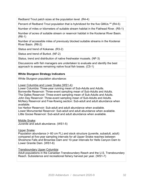Redband Trout patch sizes at the population level. (R4-4)

Percent of Redband Trout population that is hybridized for the five GMUs.<sup>[44](#page-51-4)</sup> (R4-5)

Number of miles or kilometers of suitable stream habitat in the Flathead River. (R5-1)

Number of acres of suitable stream or reservoir habitat in the Kootenai River Basin. (R6-1)

Number of accessible miles of previously blocked suitable streams in the Kootenai River Basin. (R6-2)

Status and trend of Kokanee. (R3-2)

Status and trend of Burbot. (NF-2)

Status, trend and distribution of native freshwater mussels. (NF-3)

Discussions with fish managers are undertaken to evaluate and identify the best approach to assess remaining native focal fish losses. (C5-1)

# **White Sturgeon Strategy Indicators**

White Sturgeon population abundance:

Lower Columbia and Lower Snake (WS1-4):

Lower Columbia: Three-year running mean of Sub-Adults and Adults.

Bonneville Reservoir: Three-event sampling mean of Sub-Adults and Adults.

The Dalles Reservoir: Three-event sampling mean of Sub-Adults and Adults.

John Day Reservoir: Three-event sampling mean of Sub-Adults and Adults.

McNary Reservoir and Free-flowing section: Sub-adult and adult abundance when available.

Ice Harbor Reservoir: Sub-adult and adult abundance when available. Lower Monumental Reservoir: Sub-adult and adult abundance when available. Little Goose Reservoir: Sub-adult and adult abundance when available.

Middle Snake: Juvenile and adult abundance. (WS1-5)

Upper Snake:

Population abundance (> 60 cm FL) and stock structure (juvenile, subadult, adult) compared at five-year sampling intervals for all Upper Snake reaches between Shoshone Falls and Brownlee Dam and 10-year intervals for Hells Canyon Dam to Lower Granite Dam. (WS1-6)

# Transboundary Upper Columbia:

Adult populations in the Canadian Transboundary Reach and the U.S. Transboundary Reach. Subsistence and recreational fishery harvest per year. (WS1-7)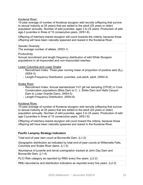Kootenai River:

10-year average of number of Kootenai sturgeon wild recruits (offspring that survive to sexual maturity at 25 years) that are added to the adult (25 years or older) population annually. Number of wild juveniles, ages 3 to 24 years. Production of wild age-3 juveniles in three of 10 consecutive years. (WS1-8).

Offspring of hatchery-reared sturgeon will count towards the criteria, because those offspring will have been naturally spawned and reared in the Kootenai River.

Genetic Diversity: The average number of alleles. (WS3-1)

Productivity:

Annual recruitment and length frequency distribution of wild White Sturgeon populations in all impounded and non-impounded reaches.

Lower Columbia and Lower Snake:

- Recruitment Index: Three-year running mean of proportion of positive sets  $(E_p)$ . (WS4-3)
- Length-Frequency Distribution: juveniles, sub-adult, adult. (WS4-4)

Snake River:

- Recruitment Index: Annual standardized YoY gill net sampling (CPUE) in Core Conservation populations (Bliss Dam to C. J. Strike Dam and Hells Canyon Dam to Lower Granite Dam). (WS4-5)
- Length-Frequency Distribution. (WS4-6)

Kootenai River:

10-year average of number of Kootenai sturgeon wild recruits (offspring that survive to sexual maturity at 25 years) that are added to the adult (25 years or older) population annually. Number of wild juveniles, ages 3 to 24 years. Production of wild age-3 juveniles in three of 10 consecutive years. (WS1-9).

Offspring of hatchery-reared sturgeon will count toward the criteria, because those offspring will have been naturally spawned and reared in the Kootenai River.

# **Pacific Lamprey Strategy Indicators**

Total end-of-year dam count at Bonneville Dam. (L1-2)

Geographic distribution as indicated by total end-of-year counts at Willamette Falls, Columbia and Snake River dams. (L1-3)

Abundance of juvenile and larval outmigration tracked at John Day Dam and Bonneville Dam. (L1-4)

PLCI Risk category as reported by RMU every five years. (L2-2)

RMU abundance and distribution indicators as reported every five years. (L2-3)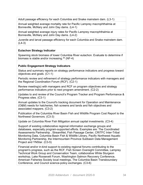Adult passage efficiency for each Columbia and Snake mainstem dam. (L3-1)

Annual weighted average mortality rate for Pacific Lamprey macrophthalmia at Bonneville, McNary and John Day dams. (L4-1)

Annual weighted average injury rates for Pacific Lamprey macrophthalmia at Bonneville, McNary and John Day dams. (L4-2)

Juvenile and larval passage efficiency for each Columbia and Snake mainstem dam. (L4-3)

# **Eulachon Strategy Indicator**

Spawning stock biomass of lower Columbia River eulachon. Evaluate to determine if biomass is stable and/or increasing. [45](#page-51-5) (NF-4)

# **Public Engagement Strategy Indicators**

Status and summary reports on strategy performance indicators and progress toward objectives and goals. (C1-1)

Periodic review and refinement of strategy performance indicators with managers and the Regional Coordination Forum (RCF). (C2-1)

Review meeting(s) with managers and RCF on program objectives and strategy performance indicators prior to next program amendment. (C2-2)

Updates to and review of the Council's Program Tracker and Program Performance & Progress sites. (C3-1)

Annual updates to the Council's tracking document for Operation and Maintenance (O&M) needs for hatcheries, fish screens and lands and fish objectives and associated mappers. (C3-2)

Publication of the Columbia River Basin Fish and Wildlife Program Cost Report to the Northwest Governors. (C3-3)

Update on Columbia River Fish Mitigation annual capital investments. (C3-4)

Support of existing collaborative regional information exchange groups and databases, especially program-supported efforts. Examples are: The Coordinated Assessments Partnership , StreamNet, Fish Passage Center, CRITFC Inter-Tribal Monitoring Data, Columbia Basin Fish & Wildlife Library, Pacific Northwest Aquatic Monitoring Partnership, the Intermountain Province Subbasin Data Management Project and YNStar. (C3-5)

Financial and/or in-kind support to existing regional forums contributing to the program's progress, such as the RCF, Fish Screen Oversight Committee, Lamprey Technical Work Group and Conservation Team, collaborative White Sturgeon workshop, Lake Roosevelt Forum, Washington Salmon Recovery Conference, American Fisheries Society local meetings, The Columbia Basin Transboundary Conference, and Council science-policy exchanges. (C3-6)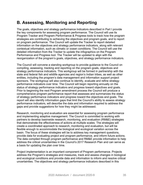# <span id="page-34-0"></span>**B. Assessing, Monitoring and Reporting**

The goals, objectives and strategy performance indicators described in Part I provide the key components for assessing program performance. The Council will use its Program Tracker and Program Performance & Progress tools to track how the program strategies are contributing to achieving the objectives and program goals, and to report on program performance. The Council will update the Tracker to report detailed information on the objectives and strategy performance indicators, along with relevant contextual information, such as climatic or ocean conditions. The Council will use the detailed information from the Tracker to update the infographics on the Program Performance and Progress tool. The Tracker will be updated to align with the reorganization of the program's goals, objectives, and strategy performance indicators.

The Council will convene a standing workgroup to provide guidance to the Council on compiling, assessing, tracking and reporting on the program goals, objectives and strategy performance indicators. This workgroup will be formed in partnership with the state and federal fish and wildlife agencies and region's Indian tribes, as well as other entities, including the program's data management and information support project sponsors. The workgroup will also continue to identify, evaluate and refine strategy performance indicators over time. The Council will begin reporting annually on the status of strategy performance indicators and progress toward objectives and goals. Prior to beginning the next Program amendment process the Council will produce a comprehensive program performance report that assesses and summarizes the status of strategy performance indicators and progress toward the objectives and goals. The report will also identify information gaps that limit the Council's ability to assess strategy performance indicators, will describe the data and information required to address the gaps and provide suggestions for how they might be addressed.

Research, monitoring and evaluation are essential for assessing program performance and implementing adaptive management. The Council is committed to working with partners to develop basinwide research, monitoring, and evaluation (RM&E) strategies that demonstrate the effectiveness of actions at multiple scales. The strategies will create a coordinated approach to research, monitoring and evaluation, but will be flexible enough to accommodate the biological and ecological variation across the basin. The focus of these strategies will be to address key management questions, provide data for evaluating project and program performance, and inform future actions. The data compiled through program performance and RM&E provide information to help address the critical uncertainties in the Council's 2017 Research Plan and can serve as a basis for updating the plan over time.

Project implementation is an important component of Program performance. Projects address the Program's strategies and measures, track and assess changes in biological and ecological conditions and provide data and information to inform and resolve critical uncertainties. The objectives and strategy performance indicators described in this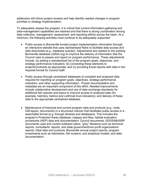addendum will inform project reviews and help identify needed changes in program priorities or strategy implementation.

To adequately assess the program, it is critical that current information-gathering and data-management capabilities are retained and that there is strong coordination among data collection, management, assessment, and reporting efforts across the basin. At a minimum, the following activities must continue to be adequately supported:

- Public access to Bonneville-funded project implementation information through an interactive website that uses standardized fields to facilitate data access and data downloads (e.g., database queries). Adjustments are needed to the existing Bonneville database (cbfish.org) to improve the delivery of information that the Council uses to assess and report on program performance. These adjustments include: (a) adding a standardized list of the program goals, objectives, and strategy performance indicators; (b) connecting these elements to projects/contracts as appropriate; and (c) providing Excel reports with data in the required format for Council staff.
- Public access through centralized databases of compiled and analyzed data required for reporting on program goals, objectives, strategy performance indicators, and other supporting information. Proper documentation and metadata are an important component of this effort. Needed improvements include collaborative development and use of data exchange standards for additional fish species and topics to improve access to analyzed data (for example, hatchery metrics and cutthroat trout indicators); and delivery of these data to the appropriate centralized database.
- Maintenance of historical and current program data and products (e.g., tools, GIS-layers, documents) in a structured manner that facilitates public access in a searchable format (e.g. through libraries and databases). This includes the program's Protected Areas database, mapper and files; habitat evaluation procedures (HEP) data and documentation; Council documents; ISG/ISAB/ISRP documents; past and current subbasin plans; "grey" literature such as technical reports, consultants' reports, and state government/non-profit organizations' reports; tribal data and products; Bonneville annual project reports; program investments such as hatcheries, fish screens, and analytical models; and data documentation.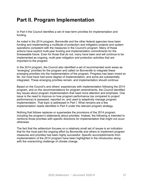# <span id="page-36-0"></span>**Part II. Program Implementation**

In Part II the Council identifies a set of near-term priorities for implementation and funding.

As noted in the 2014 program, Bonneville and the other federal agencies have been funding and implementing a multitude of protection and mitigation projects and system operations consistent with the measures in the Council's program. Many of these actions have explicit multi-year funding and implementation commitments for the foreseeable future. Even for those that do not, many have been and will continue to be implemented as ongoing, multi-year mitigation and protection activities that are important to the program.

In the 2014 program, the Council also identified a set of recommended work areas as "emerging" priorities for the program and called on Bonneville to integrate these emerging priorities into the implementation of the program. Progress has been mixed so far, but most have had some degree of implementation, and some are substantially integrated. These emerging priorities remain, and implementation should continue.

Based on the Council's and others' experiences with implementation following the 2014 program, and on the recommendations for program amendments, the Council identified key issues about program implementation that need more attention and emphasis. One issue is the need to improve on how *program* performance (as compared to *project* performance) is assessed, reported on, and used to adaptively manage program implementation. That topic is addressed in Part I. What remains are a few implementation needs identified in Part II under the relevant program strategy.

Nothing that follows replaces or supersedes the provisions of the 2014 program, including the program's statements about priorities. Instead, the following is intended to reinforce those priorities with specific directions for implementation that might not occur otherwise.

The fact that the addendum focuses on a relatively small set of issues is an indication that for the most part the ongoing effort by Bonneville and others to implement program measures and priorities has been highly successful. Specific accomplishments from implementation of the 2014 program have been highlighted in the introduction along with the overarching challenge of climate change.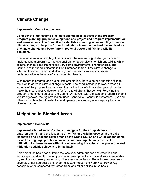# <span id="page-37-0"></span>**Climate Change**

**Implementer: Council and others**

**Consider the implications of climate change in all aspects of the program – program planning, project development, and project and program implementation and assessments. The Council will establish a standing science-policy forum on climate change to help the Council and others better understand the implications of climate change and better inform regional power and fish and wildlife decisions.**

The recommendations highlight, in particular, the overarching challenge involved in implementing a program to improve environmental conditions for fish and wildlife while climate change is redefining those very same environmental characteristics. The Council has included indicators in Part I intended to track how climate change is affecting the environment and affecting the chances for success in program implementation in the face of environmental change.

With regard to program and project implementation, there is no one specific action to focus on to address climate change impacts. The need instead is to work across all aspects of the program to understand the implications of climate change and how to make the most effective decisions for fish and wildlife in that context. Following the program amendment process, the Council will consult with the state and federal fish and wildlife agencies, the region's Indian tribes, Bonneville, Bonneville customers, EPA and others about how best to establish and operate the standing science-policy forum on climate change.

# <span id="page-37-1"></span>**Mitigation in Blocked Areas**

# **Implementer: Bonneville**

**Implement a broad suite of actions to mitigate for the complete loss of anadromous fish and the losses to other fish and wildlife species in the Lake Roosevelt and Spokane River areas above Grand Coulee and Chief Joseph dams, as well as ongoing operational impacts. Increase significantly the level of mitigation for these losses without compromising the substantive protection and mitigation activities elsewhere in the basin.**

This part of the basin has suffered the loss of anadromous fish and other fish and wildlife species directly due to hydropower development at a scale at least comparable to, and in most cases greater than, other areas in the basin. These losses have been severely under-addressed and under-mitigated through the Northwest Power Act, especially when compared with other areas and other entities in the basin.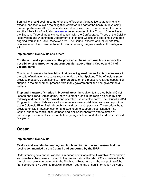Bonneville should begin a comprehensive effort over the next five years to intensify, expand, and then sustain the mitigation effort for this part of the basin. In developing this comprehensive effort, Bonneville should work with the Spokane Tribe of Indians and the tribe's list of mitigation [measures](https://www.nwcouncil.org/sites/default/files/2018ProgramRecommendation_STI_Attachment_6.pdf) recommended to the Council. Bonneville and the Spokane Tribe of Indians should consult with the Confederated Tribes of the Colville Reservation and Washington Department of Fish and Wildlife and coordinate with their ongoing work in the Lake Roosevelt area. The Council expects annual reports from Bonneville and the Spokane Tribe of Indians detailing progress made in this mitigation effort.

# **Implementer: Bonneville and others**

# **Continue to make progress on the program's phased approach to evaluate the possibility of reintroducing anadromous fish above Grand Coulee and Chief Joseph dams.**

Continuing to assess the feasibility of reintroducing anadromous fish is one measure in the suite of mitigation measures recommended by the Spokane Tribe of Indians (*see* previous measure). Continuing to make progress on this measure received substantial support in the amendment process from many governmental and non-governmental entities.

**Trap and transport fisheries in blocked areas.** In addition to the area behind Chief Joseph and Grand Coulee dams, there are other areas in the region blocked by both federally and non-federally owned and operated hydroelectric dams. The Council's 2014 Program includes collaborative efforts to restore ceremonial fisheries in some portions of the Columbia River Basin through trap and transport operations. These efforts have provided unlisted hatchery salmon and steelhead to support these fisheries. The Council supports continuation of these and similar collaborative efforts aimed at enhancing ceremonial fisheries on hatchery-origin salmon and steelhead over the next five years.

# <span id="page-38-0"></span>**Ocean**

# **Implementer: Bonneville**

# **Restore and sustain the funding and implementation of ocean research at the level recommended by the Council and supported by the ISRP.**

Understanding how annual variations in ocean conditions affect Columbia River salmon and steelhead has been important to the program since the late 1990s, consistent with the science review amendment to the Northwest Power Act and the completion of the first comprehensive science reviews. In recent years, the annual information delivered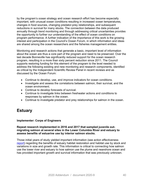by the program's ocean strategy and ocean research effort has become especially important, with unusual ocean conditions resulting in increased ocean temperatures, changes in food sources, changing predator-prey relationships, and subsequent reductions in survival for many stocks. The connection between the data produced annually through trend monitoring and through addressing critical uncertainties provides the opportunity to further our understanding of the effect of ocean conditions on program performance. A further indication of the importance of this work is the growing interest and participation in the Council's Ocean Forum, in which information and ideas are shared among the ocean researchers and the fisheries management entities.

Monitoring and research actions that generate a basic, important level of information about the ocean are thus a core part of the program and need to be preserved. Over the last decade Bonneville has significantly reduced support for the ocean research program, resulting in a more than sixty percent reduction since 2011. The Council supports restoring funding for this element of the program to the level needed to address the following existing and new monitoring and research components, identified as critical by the Independent Scientific Review Panel in recent reviews and as discussed by the Ocean Forum:

- Continue to develop, use, and improve indicators for ocean conditions.
- Investigate and assess the correlations between salmon, their survival, and the ocean environment.
- Continue to develop forecasts of survival.
- Continue to investigate links between freshwater actions and conditions to responses by salmon in the ocean.
- Continue to investigate predator and prey relationships for salmon in the ocean.

# <span id="page-39-0"></span>**Estuary**

# **Implementer: Corps of Engineers**

# **Repeat research implemented in 2016 and 2017 that sampled juvenile outmigrating salmon at several sites in the Lower Columbia River and estuary to assess benefits of estuarine use by interior salmon stocks.**

Those initial years of study yielded important information (see action effectiveness [report\)](https://nwcouncil.app.box.com/file/456881978054) regarding the benefits of estuary habitat restoration and habitat use by stock and variations in size and growth rate. This information is critical to connecting how salmon use the lower river and estuary to how salmon use the plume and nearshore ocean and has provided important growth and survival information that was previously unknown.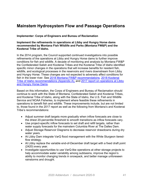# <span id="page-40-0"></span>**Mainstem Hydrosystem Flow and Passage Operations**

# **Implementer: Corps of Engineers and Bureau of Reclamation**

# **Implement the refinements in operations at Libby and Hungry Horse dams recommended by Montana Fish Wildlife and Parks (Montana FW&P) and the Kootenai Tribe of Idaho.**

In the 2014 program, the Council supported continued investigations into possible refinements of the operations at Libby and Hungry Horse dams to further improve conditions for fish and wildlife. A decade of monitoring and analysis by Montana FW&P the Confederated Salish and Kootenai Tribes and the Kootenai Tribe of Idaho identified specific minor changes in the operations that will increase benefits for resident fish, wildlife, and ecological processes in the reservoirs and rivers downstream from Libby and Hungry Horse. These changes are not expected to adversely affect conditions for fish in the lower river. See [2018 Montana FW&P recommendations,](https://app.nwcouncil.org/uploads/2018amend/recs/751/FINAL_MFWP_FW%20Program%20amendment%20recommendations_submitted%20to%20Council%2013%20Dec%202018.pdf) [2018 Kootenai](https://app.nwcouncil.org/uploads/2018amend/recs/740/KTOI_NPCC%20Amendment_2018_%20Final.pdf)  [Tribe of Idaho recommendations \(Appendix A\),](https://app.nwcouncil.org/uploads/2018amend/recs/740/KTOI_NPCC%20Amendment_2018_%20Final.pdf) and [2017 report on operations at Libby](https://www.nwcouncil.org/sites/default/files/2017mtops.pdf)  [and Hungry Horse Dams.](https://www.nwcouncil.org/sites/default/files/2017mtops.pdf)

Based on this information, the Corps of Engineers and Bureau of Reclamation should continue to work with the State of Montana, Confederated Salish and Kootenai Tribes, and Kootenai Tribe of Idaho, along with the State of Idaho, the U.S. Fish and Wildlife Service and NOAA Fisheries, to implement where feasible these refinements in operations to benefit fish and wildlife. These improvements include, but are not limited to, those found in the 2017 report as well as the following from Montana's and Kootenai Tribe's recommendations:

- Adjust summer draft targets more gradually when inflow forecasts are close to the driest 20-percentile threshold to smooth transitions as inflow forecasts vary.
- Use project-specific inflow forecasts to set draft and refill targets, rather than water supply forecasts for the mainstem Columbia River at The Dalles Dam.
- Adjust Storage Reservoir Diagrams to decrease reservoir drawdowns during dry water years.
- At Libby Dam integrate VarQ flood management with the White Sturgeon tieredflow strategy.
- At Libby replace the variable end-of-December draft target with a fixed draft point (2420) every year.
- Investigate opportunities to use VarQ-like operations at other storage projects to help accommodate water variability among subbasins, improve the region's ability to monitor changing trends in snowpack, and better manage unforeseen rainstorms and drought.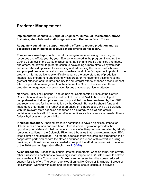# <span id="page-41-0"></span>**Predator Management**

**Implementers: Bonneville, Corps of Engineers, Bureau of Reclamation, NOAA Fisheries, state fish and wildlife agencies, and Columbia Basin Tribes**

**Adequately sustain and support ongoing efforts to reduce predation and, as described below, increase or revise those efforts as necessary.**

**Ecosystem-based approach.** Predator management is requiring more program resources and efforts year by year. Everyone involved in the program, including the Council, Bonneville, the Corps of Engineers, the fish and wildlife agencies and tribes, and others, must work together to continue developing a more effective systemwide, ecosystem-based approach for assessing and addressing the impacts of fish, avian, and pinniped predation on salmon and steelhead and other fish species important to the program. It is imperative to scientifically advance the understanding of predation impacts. It is important to understand which predator management actions have the greatest effect on adult returns and SARs and retarget efforts on those actions for costeffective predation management. In the interim, the Council has identified three predation management implementation issues that need particular attention:

**Northern Pike.** The Spokane Tribe of Indians, Confederated Tribes of the Colville Reservation, and Washington Department of Fish and Wildlife have developed a comprehensive Northern pike removal proposal that has been reviewed by the ISRP and recommended for implementation by the Council. Bonneville should fund and implement a Northern Pike removal effort based on that proposal, while also working with the relevant state agencies and tribes on a strategy to solicit and obtain contributions to this effort from other affected entities as this is an issue broader than a federal hydrosystem responsibility.

**Pinniped predation.** Pinniped predation continues to have a significant impact on Columbia basin salmon and steelhead. Recent federal legislation provides the opportunity for state and tribal managers to more effectively reduce predation by lethally removing sea lions in the Columbia River and tributaries that have returning adult ESAlisted salmon and steelhead. The federal agencies must reinforce and strengthen their cooperative partnerships with the states and tribes in support of this effort, including providing additional resources as needed to support the effort consistent with the intent of the 2018 sea lion legislation (Public Law [115-329\)](https://www.congress.gov/bill/115th-congress/senate-bill/3119).

**Avian predation.** Predation by double-crested cormorants, Caspian terns, and several other bird species continues to have a significant impact on ESA-listed juvenile salmon and steelhead in the Columbia and Snake rivers. A recent trend has been reduced support for this effort. The action agencies (Bonneville, Corps of Engineers, Bureau of Reclamation) working with state and tribal partners, should continue to provide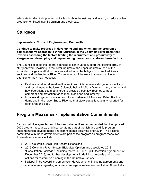adequate funding to implement activities, both in the estuary and inland, to reduce avian predation on listed juvenile salmon and steelhead.

# <span id="page-42-0"></span>**Sturgeon**

# **Implementers: Corps of Engineers and Bonneville**

**Continue to make progress in developing and implementing the program's comprehensive approach to White Sturgeon in the Columbia River Basin that involves assessing the factors limiting the recruitment and productivity of sturgeon and developing and implementing measures to address those factors.** 

The Council expects the federal agencies to continue to support the existing array of sturgeon work, including in the lower Columbia, the upper Columbia (part of the expanded mitigation effort in this area called for in the Mitigation in Blocked Areas section), and the Kootenai River. Two elements of the work that need particular attention or they may not occur:

- Evaluate whether alternative flow regimes might increase sturgeon productivity and recruitment in the lower Columbia below McNary Dam and if so, whether and how operations could be altered to provide those flow regimes without compromising protection for salmon, steelhead and lamprey.
- Increase sturgeon population monitoring between McNary and Priest Rapids dams and in the lower Snake River so that stock status is regularly reported for each area and pool.

# <span id="page-42-1"></span>**Program Measures - Implementation Commitments**

Fish and wildlife agencies and tribes and other entities recommended that the updated 2020 program recognize and incorporate as part of the fish and wildlife program implementation developments and commitments occurring after 2014. The actions committed to in these developments are part of the program as program measures. These developments include:

- 2018 Columbia Basin Fish Accord Extensions
- 2019 Columbia River System Biological Opinion and associated 2018 "Consultation Package," including the "2019-2021 Spill Operation Agreement" of December 2018, and further developments in defining the goals and proposed actions for restoration planning in the Columbia Estuary
- Kalispel Tribe Accord implementation developments, including agreements and commitments regarding upstream passage of native resident fish at Albeni Falls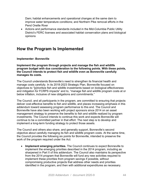Dam; habitat enhancements and operational changes at the same dam to improve water temperature conditions; and Northern Pike removal efforts in the Pend Oreille River

• Actions and performance standards included in the Mid-Columbia Public Utility District's FERC licenses and associated habitat conservation plans and biological opinions

# <span id="page-43-0"></span>**How the Program Is Implemented**

# **Implementer: Bonneville**

**Implement the program through projects and manage the fish and wildlife program budget with due consideration to the following points. With these points, the Council intends to protect fish and wildlife even as Bonneville carefully manages its costs.**

The Council understands Bonneville's need to strengthen its financial health and manage costs carefully. In its 2018-2023 Strategic Plan, Bonneville focused on objectives to "[p]rioritize fish and wildlife investments based on biological effectiveness and mitigation for FCRPS impacts" and to, "manage fish and wildlife program costs at or below inflation, inclusive of new obligations and commitments."

The Council, and all participants in the program, are committed to ensuring that projects deliver cost-effective benefits to fish and wildlife, and places increasing emphasis in this addendum toward assessing program performance to this end. The Council and Bonneville have also been working with project sponsors since 2014 on an asset management strategy to preserve the benefits to fish and wildlife realized by program investments. The Council intends to continue this work and expects Bonneville will continue to be a committed partner in that effort. The next step is to develop and implement a long-term funding strategy to protect those assets.

The Council and others also share, and generally support, Bonneville's second objective about carefully managing its fish and wildlife program costs. At the same time, the Council provides the following six points for Bonneville, intended to preserve the work of the program required under the Act:

• **Implement emerging priorities.** The Council continues to expect Bonneville to implement the emerging priorities described in the 2014 program, including as sharpened in Part II of this addendum. The Council also maintains its perspective from the 2014 program that Bonneville will fund any new activities required to implement these priorities from program savings if possible, without compromising productive projects that address other needs and priorities identified in the program, and then with additional expenditures as necessary.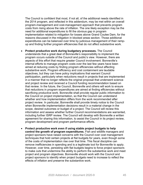The Council is confident that most, if not all, of the additional needs identified in the 2014 program, and reflected in this addendum, may be met within an overall program-management and cost-management approach that prevents program costs from rising above the rate of inflation. The one likely exception may be the need for additional expenditures to fill the obvious gap in program implementation related to mitigation for losses above Grand Coulee Dam, for the reasons discussed in the mitigation in blocked areas section. Those additional expenditures can be balanced over time by judicious management of their rampup and finding further program efficiencies that do not affect substantive work.

- **Protect productive work during budgetary processes.** The Council understands that a great deal of Bonneville's responsibility to implement the program occurs outside of the Council and public's view. However, there are aspects of this effort that require greater Council involvement. Bonneville's internal efforts to manage program costs over the last few years have been aimed at reducing costs by finding program efficiencies without affecting substantive work. Program efficiency and cost containment are laudable objectives, but they can have policy implications that warrant Council participation, particularly when reductions result in projects that are implemented in a manner that no longer reflects the original proposal that underwent science and project review and received a Council funding recommendation based on that review. In the future, the Council, Bonneville and others will work to ensure that reductions in program expenditures are aimed at finding efficiencies without sacrificing productive work. Bonneville shall provide regular public information to the Council on project implementation, so that the Council can understand whether and how implementation differs from the work recommended after project review. In particular, Bonneville shall provide timely notice to the Council when Bonneville implementation decisions result in a material change in the scope, desired outcomes or budget of a project. The Council will review this information and assess whether further Council recommendations are warranted, including further ISRP review. The Council will develop with Bonneville a written agreement for sharing this information, to assist the Council in its project review, program development and program performance efforts.
- **Protect productive work even if using stable project budgets to help control the growth of program expenditures.** Fish and wildlife managers and project sponsors have raised concerns with the Council over cost management techniques that hold certain projects at flat budgets for years, even though some of the costs of implementation rise over that time. This fiscal discipline can remove inefficiencies in spending and is a legitimate tool for Bonneville to apply. However, over time, persisting with flat budgets begins to force project sponsors to make cuts that undermine the ability to perform the substantive work and meet project and program objectives. Bonneville should work with the Council and project sponsors to identify when project budgets need to increase to reflect the effects of inflation and preserve the substantive work.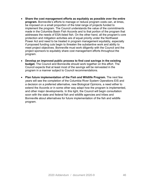- **Share the cost management efforts as equitably as possible over the entire program.** Bonneville's efforts to manage or reduce program costs can, at times, be imposed on a small proportion of the total range of projects funded to implement the program. The Council understands the value of the commitments made in the Columbia Basin Fish Accords and to that portion of the program that addresses the needs of ESA-listed fish. On the other hand, all the program's core protection and mitigation activities are of equal priority under the Northwest Power Act and need to be treated in program management equitably, especially if proposed funding cuts begin to threaten the substantive work and ability to meet project objectives. Bonneville must work diligently with the Council and the project sponsors to equitably share cost management efforts throughout the program.
- **Develop an improved public process to find cost savings in the existing budget.** The Council and Bonneville should work together on this effort. The Council expects that at least most of the savings will be reinvested in the program in a manner subject to Council recommendations.
- **Plan future implementation of the Fish and Wildlife Program.** The next few years will see the completion of the Columbia River System Operations EIS and a decision on a preferred alternative, new Biological Opinions, a need either to extend the Accords or in some other way adapt how the program is implemented, and other major developments. In this light, the Council will begin consultation soon with the state and federal fish and wildlife agencies and tribes and Bonneville about alternatives for future implementation of the fish and wildlife program.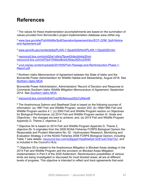# <span id="page-46-0"></span>**References**

<span id="page-46-1"></span> $1$  The values for these implementation accomplishments are based on the summation of values provided from Bonneville's project implementation database www.cbfish.org.

<span id="page-46-2"></span><sup>2</sup> www.bpa.gov/efw/FishWildlife/SpillOperationAgreement/doc/ECF-2298 Spill-Notice[and-Agreement.pdf](https://www.bpa.gov/efw/FishWildlife/SpillOperationAgreement/doc/ECF-2298_Spill-Notice-and-Agreement.pdf)

<span id="page-46-3"></span><sup>3</sup> [www.govinfo.gov/content/pkg/PLAW-115publ329/html/PLAW-115publ329.htm](https://www.govinfo.gov/content/pkg/PLAW-115publ329/html/PLAW-115publ329.htm)

<span id="page-46-4"></span><sup>4</sup> [nwcouncil.box.com/s/m0j3w1vibhq7fpve43rdpctdvkiq30vm](https://nwcouncil.box.com/s/m0j3w1vibhq7fpve43rdpctdvkiq30vm) [nwcouncil.box.com/s/07tp410h8ww8xx0u5fzacz62lvy24540](https://nwcouncil.box.com/s/07tp410h8ww8xx0u5fzacz62lvy24540)

<span id="page-46-5"></span><sup>5</sup> [ucut.org/wp-content/uploads/2019/05/Fish-Passage-and-Reintroduction-Phase-1-](https://ucut.org/wp-content/uploads/2019/05/Fish-Passage-and-Reintroduction-Phase-1-Report.pdf) [Report.pdf](https://ucut.org/wp-content/uploads/2019/05/Fish-Passage-and-Reintroduction-Phase-1-Report.pdf)

<span id="page-46-6"></span><sup>6</sup> Northern Idaho Memorandum of Agreement between the State of Idaho and the Bonneville Power Administration for Wildlife Habitat and Stewardship, August 2018. See [Northern Idaho MOA](https://nwcouncil.box.com/s/88r9jbn454kh9nm3uvnmp92p1er6kd7n)

Bonneville Power Administration, Administrators' Record of Decision and Response to Comments Southern Idaho Wildlife Mitigation Memorandum of Agreement, September 2014. See [Southern Idaho MOA](https://nwcouncil.box.com/s/73qtr4xceltmx3mu20d10q98p6nwlxxn)

<span id="page-46-7"></span><sup>7</sup> [nwcouncil.box.com/s/tv8ct47vzz58v8smuuzi53z7u5fanx9l](https://nwcouncil.box.com/s/tv8ct47vzz58v8smuuzi53z7u5fanx9l)

<span id="page-46-8"></span><sup>8</sup> The Anadromous Salmon and Steelhead Goal is based on the following sources of information: (a) 1987 Fish and Wildlife Program, section 203; (b) 1994/1995 Fish and Wildlife Program section 4.1; (c) 2000 Fish and Wildlife Program section on Objectives for Biological Performance; (d) 2014 Fish and Wildlife Program section III. Goals and Objectives – the changes we want to achieve; and, (e) 2014 Fish and Wildlife Program Appendix D, Theme 2, objective 2.a.

<span id="page-46-9"></span><sup>9</sup> Objective S4 is based on 2014 Fish and Wildlife Program Appendix D, Theme 2, objective 5b. It originates from the 2009 NOAA Fisheries FCRPS Biological Opinion the Reasonable and Prudent Alternative No. 52 - Hydrosystem Research, Monitoring and Evaluation Strategy 2 of the NOAA Fisheries 2008 FCRPS Biological Opinion, including Table 7 (see details: [nwcouncil.box.com/s/j5jpgzb1hpp64w0zb12z91ydc724p73y\)](https://nwcouncil.box.com/s/j5jpgzb1hpp64w0zb12z91ydc724p73y), and is included in the Council's HLIs.

<span id="page-46-10"></span><sup>10</sup> Obiective S5 is related to the Anadromous Mitigation in Blocked Areas strategy in the 2014 Fish and Wildlife Program and the provision on Blocked Areas Mitigation implementation in Part II of the 2020 Addendum. Reintroduction possibilities of various kinds are being investigated or discussed for most blocked areas; all are at different levels of progress. This objective is intended to reflect and track agreements that exist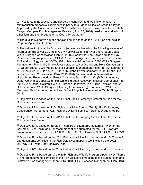to investigate reintroduction, and not be a mechanism to drive implementation of reintroduction proposals. Differences in policy (e.g. Idaho's Blocked Areas Policy as Approved by the Governor's Office, 24 Feb 2020 and Upper Snake River Tribes' Hells Canyon Complex Fish Management Program, April 27, 2018) need to be worked out in other fora and then brought to the Council's program.

<span id="page-47-0"></span> $11$  The qualitative native aquatic species goal is based on the 2014 Fish and Wildlife Program Appendix D, Theme Two.

<span id="page-47-1"></span> $12$  The values for the White Sturgeon objectives are based on the following sources of information: (a) Lower Columbia: ODFW Lower Columbia River and Oregon Coast White Sturgeon Conservation [Plan,](https://nwcouncil.box.com/s/701rub1dzm4g0v8mka20jortjx7vmo44) 2011; (b) Bonneville, The Dalles and John Day Reservoir: Draft (unpublished) ODFW Zone 6 management plans based on the same PVA methodology as the ODFW, 2011 plan; (c) Middle Snake: 2005 White Sturgeon Management Plan in the Snake River between Lower Granite and Hells Canyon dams; (d) Upper Snake: 2004 Middle Snake Subbasin Management Plan; (e) A.D. Schreier et al. Aquaculture 416–417 (2013) 141–145; Idaho Power Company. 2015. Snake River White Sturgeon Conservation Plan, 2015-2020 Planning and Implementation. Unpublished Report to Idaho Power Company, Boise ID. p. 132. (f) Transboundary Upper Columbia: Upper Columbia White Sturgeon Recovery Initiative Operational Plan 2013-2017, Upper Columbia White Sturgeon Recovery Plan - 2012 Revision, and, 2013 Columbia Basin White Sturgeon Planning Framework; (g) Kootenai USFWS Revised Recovery Plan for the Kootenai River Distinct Population segment of White Sturgeon, 2019.

<span id="page-47-2"></span><sup>13</sup> Objective L1 is based on the 2011 Tribal Pacific Lamprey Restoration Plan for the Columbia River Basin.

<span id="page-47-3"></span><sup>14</sup> Objective L2 is based on U.S. Fish and Wildlife Service (2012). Pacific Lamprey Conservation Agreement. U.S. Fish and Wildlife Service, Portland, Oregon. 57 pp.

<span id="page-47-4"></span><sup>15</sup> Objective L3 is based on the 2011 Tribal Pacific Lamprey Restoration Plan for the Columbia River Basin.

<span id="page-47-5"></span><sup>16</sup> Objective L4 is based on (a) 2011 Tribal Pacific Lamprey Restoration Plan for the Columbia River Basin; and, (b) recommendations submitted for the 2014 Program amendment process by BPT, CRITFC, CTGR, CTUIR, Cowlitz, NPT, USRTF, USFWS.

<span id="page-47-6"></span><sup>17</sup> Objective R1 is based on the 2014 Fish and Wildlife Program Appendix D, Theme 2, and documents compiled in the Fish Objectives mapping tool including the 2002 USFWS Bull Trout Draft Recovery Plan.

<span id="page-47-7"></span><sup>18</sup> Objective R2 is based on the 2014 Fish and Wildlife Program Appendix D, Theme 2.

<span id="page-47-8"></span> $19$  Objective R3 is based on (a) the 2014 Fish and Wildlife Program Appendix D, Theme 2, and (b) documents compiled in the Fish Objectives mapping tool including: Montana Statewide Fish Management Plan 2013-2018, IDFG Fisheries Management Plan 2013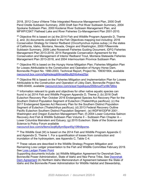2018, 2012 Coeur d'Alene Tribe Integrated Resource Management Plan, 2000 Draft Pend Oreille Subbasin Summary, 2000 Draft San Poil River Subbasin Summary, 2004 Spokane Subbasin Plan, 2000 Kootenai River Subbasin Management Plan, and MFWP/CSKT Flathead Lake and River Fisheries Co-Management Plan 2001-2010.

<span id="page-48-0"></span> $20$  Objective R4 is based on (a) the 2014 Fish and Wildlife Program Appendix D, Theme 2, and, (b) documents compiled in the Fish Objectives mapping tool including: 2016 Conservation Strategy for Interior Redband (Oncorhynchus mykiss subsp.) in the states of California, Idaho, Montana, Nevada, Oregon and Washington, 2000 Fifteenmile Subbasin Summary, 2009 Lake Roosevelt Fisheries Guiding Document, IDFG Fisheries Management Plan 2013-2018, 2014 Rangewide Conservation Agreement for the Conservation and Management of Interior Redband Trout, Montana Statewide Fisheries Management Plan 2013-2018, and 2004 Intermountain Province Subbasin Plan.

<span id="page-48-1"></span><sup>21</sup> Objective R5 is based on the Hungry Horse Mitigation Plan; Fisheries Mitigation Plan for Losses Attributable to the Construction and Operation of Hungry Horse Dam, Bonneville Project No. 1990-2003, Technical Report, Project No. 199301904, available [nwcouncil.box.com/s/fqjl4sdeqg6i9mad6bu8j2hfo4wa25pr](https://nwcouncil.box.com/s/fqjl4sdeqg6i9mad6bu8j2hfo4wa25pr)

<span id="page-48-2"></span><sup>22</sup> Objective R6 is based on the Fisheries Mitigation and Implementation Plan for Losses Attributable to the Construction and Operation of Libby Dam, Bonneville Project No. 1995-00400, available [nwcouncil.box.com/s/aye1lypekqusy550bnuxf7yn9k7ij6bq](https://nwcouncil.box.com/s/aye1lypekqusy550bnuxf7yn9k7ij6bq)

<span id="page-48-3"></span> $23$  Information relevant to goals and objectives for other native aquatic species can found in (a) 2014 Fish and Wildlife Program Appendix D, Theme 2; (b) 2016 Draft Eulachon Recovery Plan October 2016 Endangered Species Act Recovery Plan for the Southern Distinct Population Segment of Eulachon (Thaleichthys pacificus); (c) the 2017 Endangered Species Act Recovery Plan for the Southern Distinct Population Segment of Eulachon (Thaleichthys pacificus); (d) 2013 Federal Recovery Outline Pacific Eulachon Southern Distinct Population Segment ; (e) WDFW/ODFW 2001 . Washington and Oregon Eulachon Management Plan; (f) 2004 Lower Columbia Salmon Recovery And Fish & Wildlife Subbasin Plan Volume II – Subbasin Plan Chapter A – Lower Columbia Mainstem and Estuary; (g) 2015 Eulachon: State of the Science and Science to Policy Forum available

[nwcouncil.box.com/s/9smx3zqt6y8ym5ipw45g10fihillpsme.](https://nwcouncil.box.com/s/9smx3zqt6y8ym5ipw45g10fihillpsme)

<span id="page-48-4"></span><sup>24</sup> The Wildlife Goal (W) is based on the 2014 Fish and Wildlife Program Appendix C and Appendix D, Theme 1. For a quantification of losses from construction and inundation of the hydrosystem, see Appendix C, Table C-4.

<span id="page-48-5"></span> $25$  These values are described in the Wildlife Strategy Program Mitigation and Remaining Loss Ledger presentation to the Fish and Wildlife Committee February 2019. See [Loss Ledger Power Point](https://nwcouncil.box.com/s/alh8t10gr5wt0x6gwfo34yecr9dz9pbs)

Supporting documents include: (a) Wildlife Mitigation Agreement for Dworshak Dam. Bonneville Power Administration, State of Idaho and Nez Perce Tribe, See [Dworshak](https://nwcouncil.box.com/s/ze5ucsw5hrltebmbv4ev41gh8p6q08qq)  [Dam Agreement](https://nwcouncil.box.com/s/ze5ucsw5hrltebmbv4ev41gh8p6q08qq) (b) Northern Idaho Memorandum of Agreement between the State of Idaho and the Bonneville Power Administration for Wildlife Habitat and Stewardship,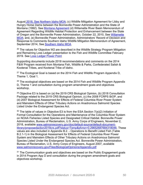August 2018, See [Northern Idaho MOA;](https://nwcouncil.box.com/s/88r9jbn454kh9nm3uvnmp92p1er6kd7n) (c) Wildlife Mitigation Agreement for Libby and Hungry Horse Dams between the Bonneville Power Administration and the State of Montana (1992). See [Montana Agreement](https://nwcouncil.box.com/s/z0x1b0g9pcijx9elzmm8lilk1mw7xsvh) (d) Willamette River Basin Memorandum of Agreement Regarding Wildlife Habitat Protection and Enhancement between the State of Oregon and the Bonneville Power Administration, October 22, 2010, See Willamette [MOA;](https://nwcouncil.box.com/s/prtnl630zf138jrrljbvd0ljipxuvz7z) and, (e) Bonneville Power Administration, Administrators' Record of Decision and Response to Comments Southern Idaho Wildlife Mitigation Memorandum of Agreement, September 2014, See [Southern Idaho MOA](https://nwcouncil.box.com/s/73qtr4xceltmx3mu20d10q98p6nwlxxn)

<span id="page-49-0"></span> $26$  The values for Objective W2 are described in the Wildlife Strategy Program Mitigation and Remaining Loss Ledger presentation to the Fish and Wildlife Committee February 2019. See [Loss Ledger Power Point](https://nwcouncil.box.com/s/alh8t10gr5wt0x6gwfo34yecr9dz9pbs)

Supporting documents include 2018 recommendations and comments on the 2014 F&W Program received from Montana Fish, Wildlife & Parks, Confederated Salish & Kootenai Tribes, and Kootenai Tribe of Idaho.

<span id="page-49-1"></span> $27$  The Ecological Goal is based on the 2014 Fish and Wildlife Program Appendix D, Theme 1, Goal 1.

<span id="page-49-2"></span> $28$  The ecological objectives are based on the 2014 Fish and Wildlife Program Appendix D, Theme 1 and consultation during program amendment goals and objectives workshop.

<span id="page-49-3"></span><sup>29</sup> Objective E3 is based on (a) the 2019 CRS Biological Opinion, (b) 2018 Consultation Package related to the 2019 CRS Biological Opinion, (c) the 2008 FCRPS BiOP, and (d) 2007 Biological Assessment for Effects of Federal Columbia River Power System and Mainstem Effects of Other Tributary Actions on Anadromous Salmonid Species Listed Under the Endangered Species Act.

<span id="page-49-4"></span> $30$  The table of values in Objective E3 is from the ESA Section 7(a)(2) Initiation of Formal Consultation for the Operations and Maintenance of the Columbia River System on NOAA Fisheries Listed Species and Designated Critical Habitat. Bonneville Power Administration, Bureau of Reclamation, U.S. Army Corps of Engineers, November 2, 2018, available [www.salmonrecovery.gov/doc/default-source/default-document](https://www.salmonrecovery.gov/doc/default-source/default-document-library/proposedaction2019crs.pdf?status=Temp&sfvrsn=0.29652687684318046)[library/proposedaction2019crs.pdf?status=Temp&sfvrsn=0.29652687684318046.](https://www.salmonrecovery.gov/doc/default-source/default-document-library/proposedaction2019crs.pdf?status=Temp&sfvrsn=0.29652687684318046) These values are also included in Appendix B.2. - Operations to Benefit Listed Fish (Table B.2.1-1) in the Biological Assessment for Effects of Federal Columbia River Power System and Mainstem Effects of Other Tributary Actions on Anadromous Salmonid Species Listed Under the Endangered Species Act. Bonneville Power Administration, Bureau of Reclamation, U.S. Army Corps of Engineers, August 2007, available [www.salmonrecovery.gov/Files/BiologicalOpinions/Appendix.pdf](https://www.salmonrecovery.gov/Files/BiologicalOpinions/Appendix.pdf)

<span id="page-49-5"></span> $31$  The Communication goals and objectives are based on the Public Engagement goals in 2014 Program App D and consultation during the program amendment goals and objectives workshop.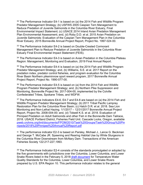<span id="page-50-0"></span> $32$  The Performance Indicator E4-1 is based on (a) the 2014 Fish and Wildlife Program Predator Management Strategy; (b) USFWS 2005 Caspian Tern Management to Reduce Predation of Juvenile Salmonids in the Columbia River Estuary, Final Environmental Impact Statement; (c) USACE 2014 Inland Avian Predation Management Plan Environmental Assessment; and, (d) Roby D.D. et al. 2015 Avian Predation on Juvenile Salmonids: Evaluation of the Caspian Tern Management Plan in the Columbia River Estuary. 2015 Bonneville Annual Project Report, Project No. 1997‐024‐00.

<span id="page-50-1"></span><sup>33</sup> The Performance Indicator E4-2 is based on Double-Crested Cormorant Management Plan to Reduce Predation of Juvenile Salmonids in the Columbia River Estuary Final Environmental Impact Statement (FEIS).

<span id="page-50-2"></span> $34$  The Performance Indicator E4-3 is based on Avian Predation in the Columbia Plateau Region: Management, Monitoring and Evaluation, 2019 Final Annual Report.

<span id="page-50-3"></span><sup>35</sup> The Performance Indicator E4-4 is based on (a) the 2014 Fish and Wildlife Program Predator Management Strategy; and, (b) Williams, S.E. et al. 2017 Report on the predation index, predator control fisheries, and program evaluation for the Columbia River Basin Northern pikeminnow sport reward program, 2017 Bonneville Annual Project Report, Project No. 1990-077-00.

<span id="page-50-4"></span> $36$  The Performance Indicator E4-5 is based on (a) from the 2014 Fish and Wildlife Program Predator Management Strategy; and, (b) Northern Pike Suppression and Monitoring, Bonneville Project No. 2017-004-00, implemented by the Colville Confederated Tribes, Spokane Tribes, and WDFW.

<span id="page-50-5"></span> $37$  The Performance Indicators E4-6, E4-7 and E4-8 are based on (a) the 2014 Fish and Wildlife Program Predator Management Strategy; (b) 2011 Tribal Pacific Lamprey Restoration Plan for the Columbia River Basin; (c) Hatch D.R. et al. 2018. Sea Lion Monitoring and Non-Lethal Hazing. 1/1/2017 – 12/31/2017 Bonneville Annual Project Report, Project No. 2008-004-00; and, (d) Tidwell K.S. et al. 2018. Evaluation of Pinniped Predation on Adult Salmonids and other Fish in the Bonneville Dam Tailrace, 2018. USACE Portland District, Fisheries Field Unit. Cascade Locks, Oregon, available [pweb.crohms.org/tmt/documents/FPOM/2010/Task%20Groups/Task%20Group%20Pin](http://pweb.crohms.org/tmt/documents/FPOM/2010/Task%20Groups/Task%20Group%20Pinnipeds/2018%20Pinniped%20Annual%20Report.pdf) [nipeds/2018%20Pinniped%20Annual%20Report.pdf](http://pweb.crohms.org/tmt/documents/FPOM/2010/Task%20Groups/Task%20Group%20Pinnipeds/2018%20Pinniped%20Annual%20Report.pdf)

<span id="page-50-6"></span>38 The performance indicator E2-3 is based on Parsley, Michael J., Lance G. Beckman and George T. McCabe JR. Spawning and Rearing Habitat Use by White Sturgeons in the Columbia River Downstream from McNary Dam. Transactions of the American Fisheries Society 122:217-227,1993.

<span id="page-50-7"></span> $39$  The Performance Indicator E2-4 consists of the standards promulgated or adopted by the five governments with jurisdictions over the Columbia, Lower Columbia, and Lower Snake Rivers listed in the February 5, 2018 [draft document](https://nwcouncil.box.com/s/u60f7gjb3p3h6atusf10d8qhnpiqk50k) for Temperature Water Quality Standards for the Columbia, Lower Columbia, and Lower Snake Rivers prepared by U.S. EPA Region 10. This performance indicator relates to the general